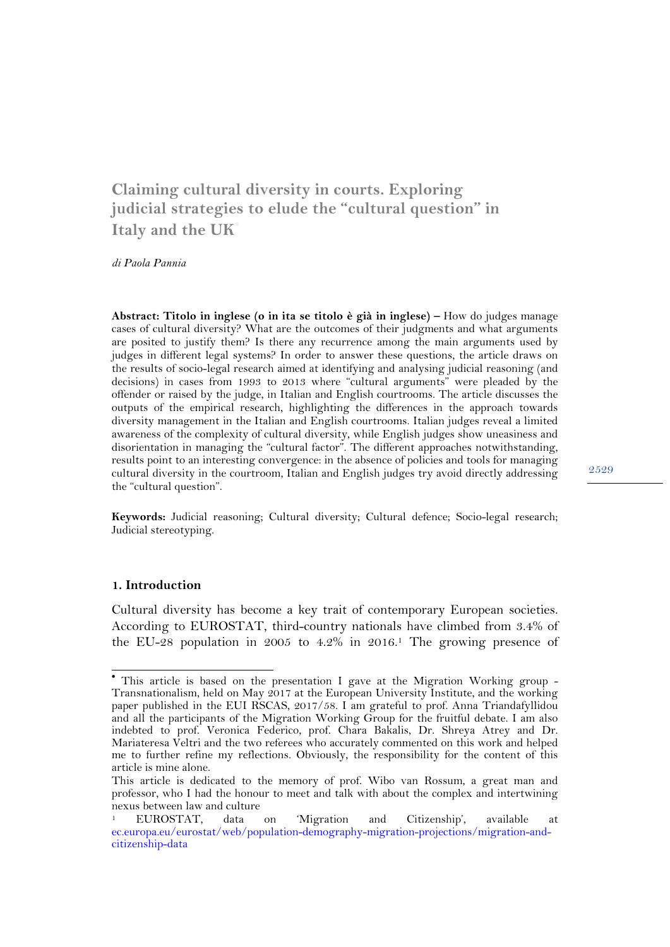# **Claiming cultural diversity in courts. Exploring judicial strategies to elude the "cultural question" in Italy and the UK**•

*di Paola Pannia* 

**Abstract: Titolo in inglese (o in ita se titolo è già in inglese) –** How do judges manage cases of cultural diversity? What are the outcomes of their judgments and what arguments are posited to justify them? Is there any recurrence among the main arguments used by judges in different legal systems? In order to answer these questions, the article draws on the results of socio-legal research aimed at identifying and analysing judicial reasoning (and decisions) in cases from 1993 to 2013 where "cultural arguments" were pleaded by the offender or raised by the judge, in Italian and English courtrooms. The article discusses the outputs of the empirical research, highlighting the differences in the approach towards diversity management in the Italian and English courtrooms. Italian judges reveal a limited awareness of the complexity of cultural diversity, while English judges show uneasiness and disorientation in managing the "cultural factor". The different approaches notwithstanding, results point to an interesting convergence: in the absence of policies and tools for managing cultural diversity in the courtroom, Italian and English judges try avoid directly addressing the "cultural question".

**Keywords:** Judicial reasoning; Cultural diversity; Cultural defence; Socio-legal research; Judicial stereotyping.

#### **1. Introduction**

Cultural diversity has become a key trait of contemporary European societies. According to EUROSTAT, third-country nationals have climbed from 3.4% of the EU-28 population in 2005 to 4.2% in 2016.1 The growing presence of

 • This article is based on the presentation I gave at the Migration Working group - Transnationalism, held on May 2017 at the European University Institute, and the working paper published in the EUI RSCAS, 2017/58. I am grateful to prof. Anna Triandafyllidou and all the participants of the Migration Working Group for the fruitful debate. I am also indebted to prof. Veronica Federico, prof. Chara Bakalis, Dr. Shreya Atrey and Dr. Mariateresa Veltri and the two referees who accurately commented on this work and helped me to further refine my reflections. Obviously, the responsibility for the content of this article is mine alone.

This article is dedicated to the memory of prof. Wibo van Rossum, a great man and professor, who I had the honour to meet and talk with about the complex and intertwining nexus between law and culture

<sup>1</sup> EUROSTAT, data on 'Migration and Citizenship', available at ec.europa.eu/eurostat/web/population-demography-migration-projections/migration-andcitizenship-data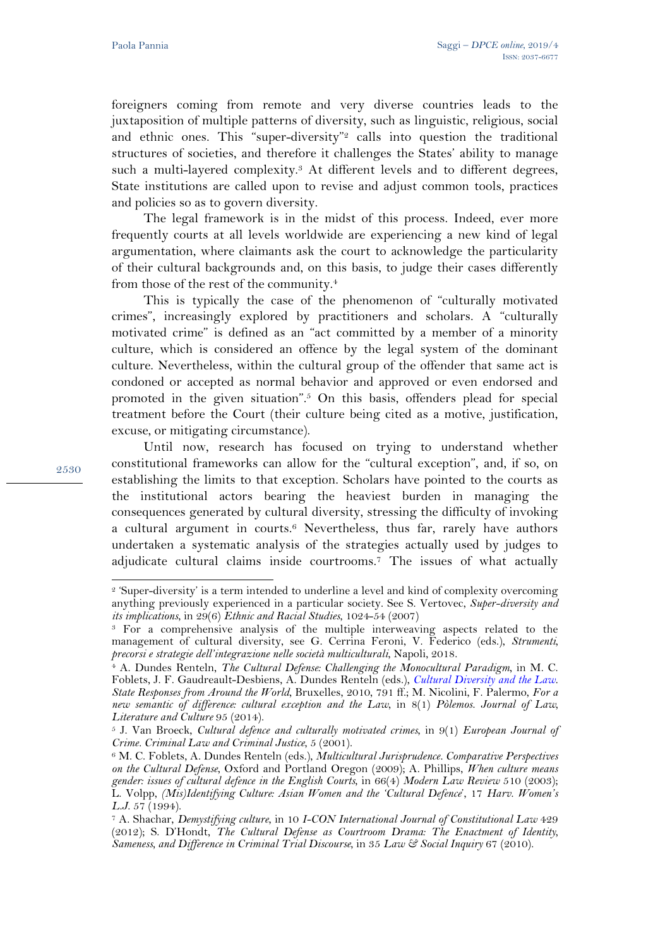foreigners coming from remote and very diverse countries leads to the juxtaposition of multiple patterns of diversity, such as linguistic, religious, social and ethnic ones. This "super-diversity"<sup>2</sup> calls into question the traditional structures of societies, and therefore it challenges the States' ability to manage such a multi-layered complexity.<sup>3</sup> At different levels and to different degrees, State institutions are called upon to revise and adjust common tools, practices and policies so as to govern diversity.

The legal framework is in the midst of this process. Indeed, ever more frequently courts at all levels worldwide are experiencing a new kind of legal argumentation, where claimants ask the court to acknowledge the particularity of their cultural backgrounds and, on this basis, to judge their cases differently from those of the rest of the community.4

This is typically the case of the phenomenon of "culturally motivated crimes", increasingly explored by practitioners and scholars. A "culturally motivated crime" is defined as an "act committed by a member of a minority culture, which is considered an offence by the legal system of the dominant culture. Nevertheless, within the cultural group of the offender that same act is condoned or accepted as normal behavior and approved or even endorsed and promoted in the given situation".5 On this basis, offenders plead for special treatment before the Court (their culture being cited as a motive, justification, excuse, or mitigating circumstance).

Until now, research has focused on trying to understand whether constitutional frameworks can allow for the "cultural exception", and, if so, on establishing the limits to that exception. Scholars have pointed to the courts as the institutional actors bearing the heaviest burden in managing the consequences generated by cultural diversity, stressing the difficulty of invoking a cultural argument in courts.<sup>6</sup> Nevertheless, thus far, rarely have authors undertaken a systematic analysis of the strategies actually used by judges to adjudicate cultural claims inside courtrooms.7 The issues of what actually

9530

<sup>&</sup>lt;sup>2</sup> 'Super-diversity' is a term intended to underline a level and kind of complexity overcoming anything previously experienced in a particular society. See S. Vertovec, *Super-diversity and* 

<sup>&</sup>lt;sup>3</sup> For a comprehensive analysis of the multiple interweaving aspects related to the management of cultural diversity, see G. Cerrina Feroni, V. Federico (eds.), *Strumenti, precorsi e strategie dell'integrazione nelle società multiculturali*, Napoli, 2018. 4 A. Dundes Renteln, *The Cultural Defense: Challenging the Monocultural Paradigm*, in M. C.

Foblets, J. F. Gaudreault-Desbiens, A. Dundes Renteln (eds.), *Cultural Diversity and the Law. State Responses from Around the World*, Bruxelles, 2010, 791 ff.; M. Nicolini, F. Palermo, *For a new semantic of difference: cultural exception and the Law*, in 8(1) *Pòlemos. Journal of Law,* 

<sup>&</sup>lt;sup>5</sup> J. Van Broeck, *Cultural defence and culturally motivated crimes*, in 9(1) *European Journal of Crime. Criminal Law and Criminal Justice*, 5 (2001). 6 M. C. Foblets, A. Dundes Renteln (eds.), *Multicultural Jurisprudence. Comparative Perspectives* 

*on the Cultural Defense*, Oxford and Portland Oregon (2009); A. Phillips, *When culture means gender: issues of cultural defence in the English Courts*, in 66(4) *Modern Law Review* 510 (2003); L. Volpp, *(Mis)Identifying Culture: Asian Women and the 'Cultural Defence*', 17 *Harv. Women's* 

<sup>&</sup>lt;sup>7</sup> A. Shachar, *Demystifying culture*, in 10 *I-CON International Journal of Constitutional Law* 429 (2012); S. D'Hondt, *The Cultural Defense as Courtroom Drama: The Enactment of Identity, Sameness, and Difference in Criminal Trial Discourse*, in 35 *Law & Social Inquiry* 67 (2010).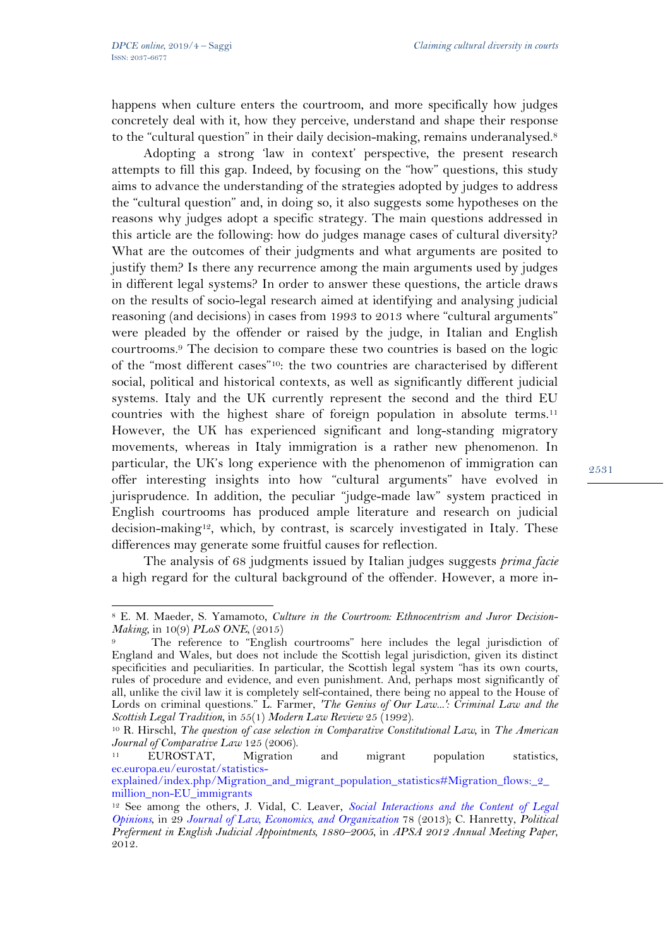l

happens when culture enters the courtroom, and more specifically how judges concretely deal with it, how they perceive, understand and shape their response to the "cultural question" in their daily decision-making, remains underanalysed.<sup>8</sup>

Adopting a strong 'law in context' perspective, the present research attempts to fill this gap. Indeed, by focusing on the "how" questions, this study aims to advance the understanding of the strategies adopted by judges to address the "cultural question" and, in doing so, it also suggests some hypotheses on the reasons why judges adopt a specific strategy. The main questions addressed in this article are the following: how do judges manage cases of cultural diversity? What are the outcomes of their judgments and what arguments are posited to justify them? Is there any recurrence among the main arguments used by judges in different legal systems? In order to answer these questions, the article draws on the results of socio-legal research aimed at identifying and analysing judicial reasoning (and decisions) in cases from 1993 to 2013 where "cultural arguments" were pleaded by the offender or raised by the judge, in Italian and English courtrooms.9 The decision to compare these two countries is based on the logic of the "most different cases"10: the two countries are characterised by different social, political and historical contexts, as well as significantly different judicial systems. Italy and the UK currently represent the second and the third EU countries with the highest share of foreign population in absolute terms.<sup>11</sup> However, the UK has experienced significant and long-standing migratory movements, whereas in Italy immigration is a rather new phenomenon. In particular, the UK's long experience with the phenomenon of immigration can offer interesting insights into how "cultural arguments" have evolved in jurisprudence. In addition, the peculiar "judge-made law" system practiced in English courtrooms has produced ample literature and research on judicial decision-making12, which, by contrast, is scarcely investigated in Italy. These differences may generate some fruitful causes for reflection.

The analysis of 68 judgments issued by Italian judges suggests *prima facie* a high regard for the cultural background of the offender. However, a more in-

<sup>8</sup> E. M. Maeder, S. Yamamoto, *Culture in the Courtroom: Ethnocentrism and Juror Decision-Making*, in 10(9) *PLoS ONE*, (2015)

The reference to "English courtrooms" here includes the legal jurisdiction of England and Wales, but does not include the Scottish legal jurisdiction, given its distinct specificities and peculiarities. In particular, the Scottish legal system "has its own courts, rules of procedure and evidence, and even punishment. And, perhaps most significantly of all, unlike the civil law it is completely self-contained, there being no appeal to the House of Lords on criminal questions." L. Farmer, *'The Genius of Our Law...': Criminal Law and the Scottish Legal Tradition*, in 55(1) Modern Law Review 25 (1992).

<sup>&</sup>lt;sup>10</sup> R. Hirschl, *The question of case selection in Comparative Constitutional Law, in <i>The American Journal of Comparative Law* 125 (2006).<br><sup>11</sup> EUROSTAT, Migration and migrant population statistics,

ec.europa.eu/eurostat/statistics-

explained/index.php/Migration\_and\_migrant\_population\_statistics#Migration\_flows:\_2\_

<sup>&</sup>lt;sup>12</sup> See among the others, J. Vidal, C. Leaver, *Social Interactions and the Content of Legal Opinions*, in 29 *Journal of Law, Economics, and Organization* 78 (2013); C. Hanretty, *Political Preferment in English Judicial Appointments, 1880–2005*, in *APSA 2012 Annual Meeting Paper*, 2012.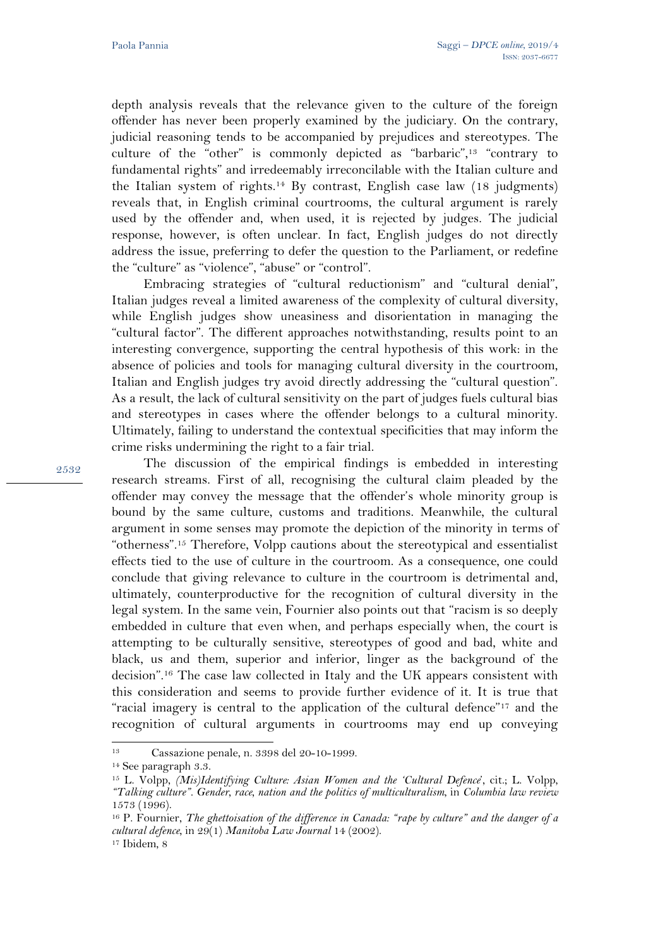depth analysis reveals that the relevance given to the culture of the foreign offender has never been properly examined by the judiciary. On the contrary, judicial reasoning tends to be accompanied by prejudices and stereotypes. The culture of the "other" is commonly depicted as "barbaric",13 "contrary to fundamental rights" and irredeemably irreconcilable with the Italian culture and the Italian system of rights.14 By contrast, English case law (18 judgments) reveals that, in English criminal courtrooms, the cultural argument is rarely used by the offender and, when used, it is rejected by judges. The judicial response, however, is often unclear. In fact, English judges do not directly address the issue, preferring to defer the question to the Parliament, or redefine the "culture" as "violence", "abuse" or "control".

Embracing strategies of "cultural reductionism" and "cultural denial", Italian judges reveal a limited awareness of the complexity of cultural diversity, while English judges show uneasiness and disorientation in managing the "cultural factor". The different approaches notwithstanding, results point to an interesting convergence, supporting the central hypothesis of this work: in the absence of policies and tools for managing cultural diversity in the courtroom, Italian and English judges try avoid directly addressing the "cultural question". As a result, the lack of cultural sensitivity on the part of judges fuels cultural bias and stereotypes in cases where the offender belongs to a cultural minority. Ultimately, failing to understand the contextual specificities that may inform the crime risks undermining the right to a fair trial.

The discussion of the empirical findings is embedded in interesting research streams. First of all, recognising the cultural claim pleaded by the offender may convey the message that the offender's whole minority group is bound by the same culture, customs and traditions. Meanwhile, the cultural argument in some senses may promote the depiction of the minority in terms of "otherness".15 Therefore, Volpp cautions about the stereotypical and essentialist effects tied to the use of culture in the courtroom. As a consequence, one could conclude that giving relevance to culture in the courtroom is detrimental and, ultimately, counterproductive for the recognition of cultural diversity in the legal system. In the same vein, Fournier also points out that "racism is so deeply embedded in culture that even when, and perhaps especially when, the court is attempting to be culturally sensitive, stereotypes of good and bad, white and black, us and them, superior and inferior, linger as the background of the decision".16 The case law collected in Italy and the UK appears consistent with this consideration and seems to provide further evidence of it. It is true that "racial imagery is central to the application of the cultural defence"17 and the recognition of cultural arguments in courtrooms may end up conveying

 $\overline{a}$ 

<sup>13</sup> Cassazione penale, n. 3398 del 20-10-1999.

<sup>14</sup> See paragraph 3.3.

<sup>15</sup> L. Volpp, *(Mis)Identifying Culture: Asian Women and the 'Cultural Defence*', cit.; L. Volpp, *"Talking culture". Gender, race, nation and the politics of multiculturalism*, in *Columbia law review* 1573 (1996).

<sup>16</sup> P. Fournier, *The ghettoisation of the difference in Canada: "rape by culture" and the danger of a cultural defence*, in 29(1) *Manitoba Law Journal* 14 (2002). 17 Ibidem, 8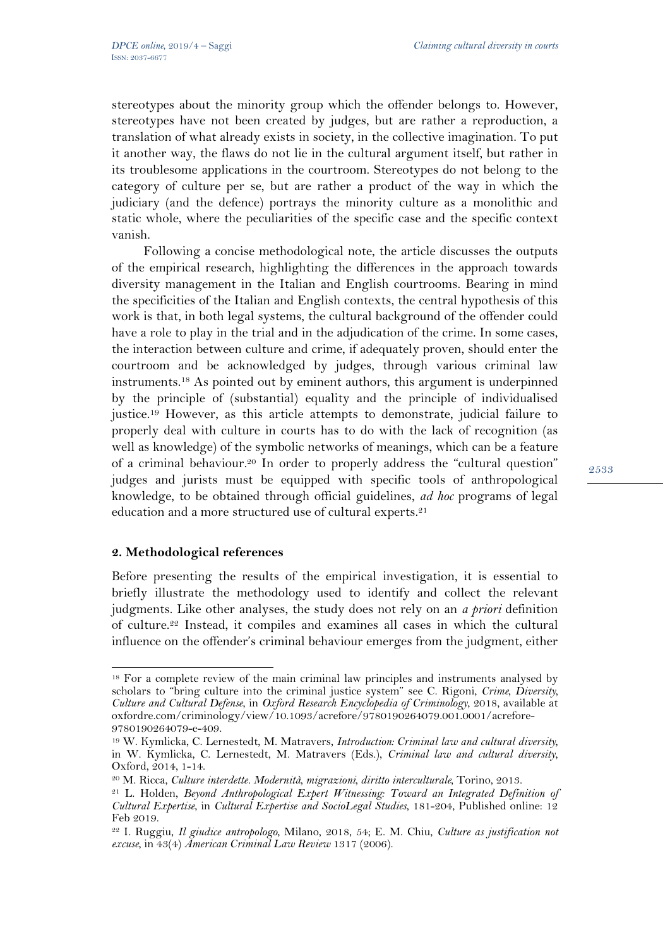stereotypes about the minority group which the offender belongs to. However, stereotypes have not been created by judges, but are rather a reproduction, a translation of what already exists in society, in the collective imagination. To put it another way, the flaws do not lie in the cultural argument itself, but rather in its troublesome applications in the courtroom. Stereotypes do not belong to the category of culture per se, but are rather a product of the way in which the judiciary (and the defence) portrays the minority culture as a monolithic and static whole, where the peculiarities of the specific case and the specific context vanish.

Following a concise methodological note, the article discusses the outputs of the empirical research, highlighting the differences in the approach towards diversity management in the Italian and English courtrooms. Bearing in mind the specificities of the Italian and English contexts, the central hypothesis of this work is that, in both legal systems, the cultural background of the offender could have a role to play in the trial and in the adjudication of the crime. In some cases, the interaction between culture and crime, if adequately proven, should enter the courtroom and be acknowledged by judges, through various criminal law instruments.18 As pointed out by eminent authors, this argument is underpinned by the principle of (substantial) equality and the principle of individualised justice.19 However, as this article attempts to demonstrate, judicial failure to properly deal with culture in courts has to do with the lack of recognition (as well as knowledge) of the symbolic networks of meanings, which can be a feature of a criminal behaviour.20 In order to properly address the "cultural question" judges and jurists must be equipped with specific tools of anthropological knowledge, to be obtained through official guidelines, *ad hoc* programs of legal education and a more structured use of cultural experts.<sup>21</sup>

#### **2. Methodological references**

 $\overline{a}$ 

Before presenting the results of the empirical investigation, it is essential to briefly illustrate the methodology used to identify and collect the relevant judgments. Like other analyses, the study does not rely on an *a priori* definition of culture.22 Instead, it compiles and examines all cases in which the cultural influence on the offender's criminal behaviour emerges from the judgment, either

<sup>&</sup>lt;sup>18</sup> For a complete review of the main criminal law principles and instruments analysed by scholars to "bring culture into the criminal justice system" see C. Rigoni, *Crime, Diversity, Culture and Cultural Defense*, in *Oxford Research Encyclopedia of Criminology*, 2018, available at oxfordre.com/criminology/view/10.1093/acrefore/9780190264079.001.0001/acrefore-9780190264079-e-409.

<sup>19</sup> W. Kymlicka, C. Lernestedt, M. Matravers, *Introduction: Criminal law and cultural diversity*, in W. Kymlicka, C. Lernestedt, M. Matravers (Eds.), *Criminal law and cultural diversity*, Oxford, 2014, 1-14.

<sup>&</sup>lt;sup>20</sup> M. Ricca, *Culture interdette. Modernità, migrazioni, diritto interculturale*, Torino, 2013.<br><sup>21</sup> L. Holden, *Beyond Anthropological Expert Witnessing: Toward an Integrated Definition of Cultural Expertise*, in *Cultural Expertise and SocioLegal Studies*, 181-204, Published online: 12 Feb 2019.

<sup>22</sup> I. Ruggiu, *Il giudice antropologo*, Milano, 2018, 54; E. M. Chiu, *Culture as justification not excuse*, in 43(4) *American Criminal Law Review* 1317 (2006).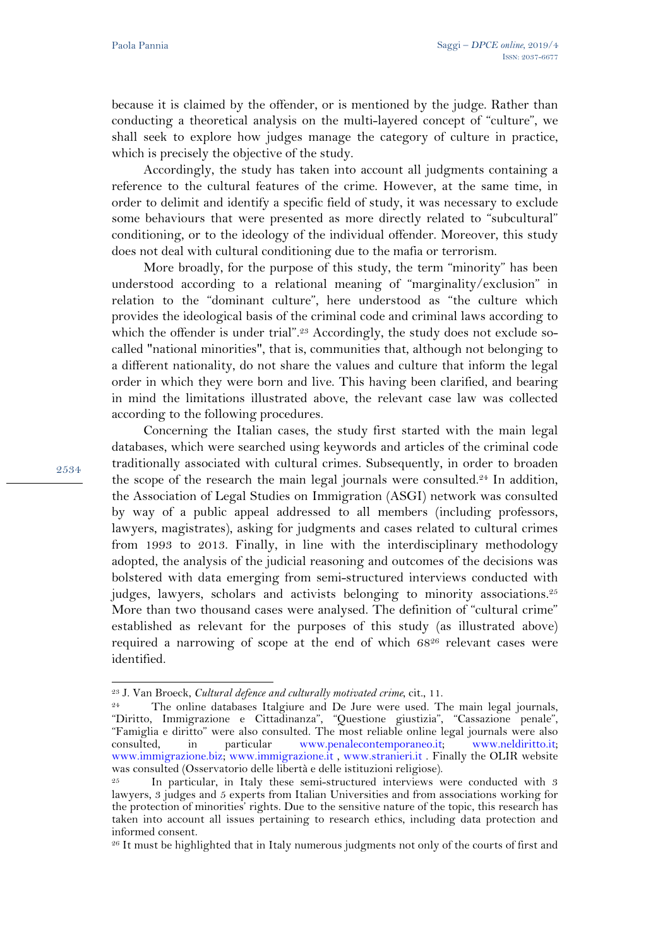because it is claimed by the offender, or is mentioned by the judge. Rather than conducting a theoretical analysis on the multi-layered concept of "culture", we shall seek to explore how judges manage the category of culture in practice, which is precisely the objective of the study.

Accordingly, the study has taken into account all judgments containing a reference to the cultural features of the crime. However, at the same time, in order to delimit and identify a specific field of study, it was necessary to exclude some behaviours that were presented as more directly related to "subcultural" conditioning, or to the ideology of the individual offender. Moreover, this study does not deal with cultural conditioning due to the mafia or terrorism.

More broadly, for the purpose of this study, the term "minority" has been understood according to a relational meaning of "marginality/exclusion" in relation to the "dominant culture", here understood as "the culture which provides the ideological basis of the criminal code and criminal laws according to which the offender is under trial".<sup>23</sup> Accordingly, the study does not exclude socalled "national minorities", that is, communities that, although not belonging to a different nationality, do not share the values and culture that inform the legal order in which they were born and live. This having been clarified, and bearing in mind the limitations illustrated above, the relevant case law was collected according to the following procedures.

Concerning the Italian cases, the study first started with the main legal databases, which were searched using keywords and articles of the criminal code traditionally associated with cultural crimes. Subsequently, in order to broaden the scope of the research the main legal journals were consulted.24 In addition, the Association of Legal Studies on Immigration (ASGI) network was consulted by way of a public appeal addressed to all members (including professors, lawyers, magistrates), asking for judgments and cases related to cultural crimes from 1993 to 2013. Finally, in line with the interdisciplinary methodology adopted, the analysis of the judicial reasoning and outcomes of the decisions was bolstered with data emerging from semi-structured interviews conducted with judges, lawyers, scholars and activists belonging to minority associations.25 More than two thousand cases were analysed. The definition of "cultural crime" established as relevant for the purposes of this study (as illustrated above) required a narrowing of scope at the end of which 6826 relevant cases were identified.

9534

<sup>&</sup>lt;sup>23</sup> J. Van Broeck, *Cultural defence and culturally motivated crime*, cit., 11.<br><sup>24</sup> The online databases Italgiure and De Jure were used. The main legal journals, "Diritto, Immigrazione e Cittadinanza", "Questione giustizia", "Cassazione penale", "Famiglia e diritto" were also consulted. The most reliable online legal journals were also consulted, in particular www.penalecontemporaneo.it; www.neldiritto.it; www.immigrazione.biz; www.immigrazione.it , www.stranieri.it . Finally the OLIR website was consulted (Osservatorio delle libertà e delle istituzioni religiose).<br><sup>25</sup> In particular, in Italy these semi-structured interviews were conducted with 3

lawyers, 3 judges and 5 experts from Italian Universities and from associations working for the protection of minorities' rights. Due to the sensitive nature of the topic, this research has taken into account all issues pertaining to research ethics, including data protection and informed consent.

<sup>&</sup>lt;sup>26</sup> It must be highlighted that in Italy numerous judgments not only of the courts of first and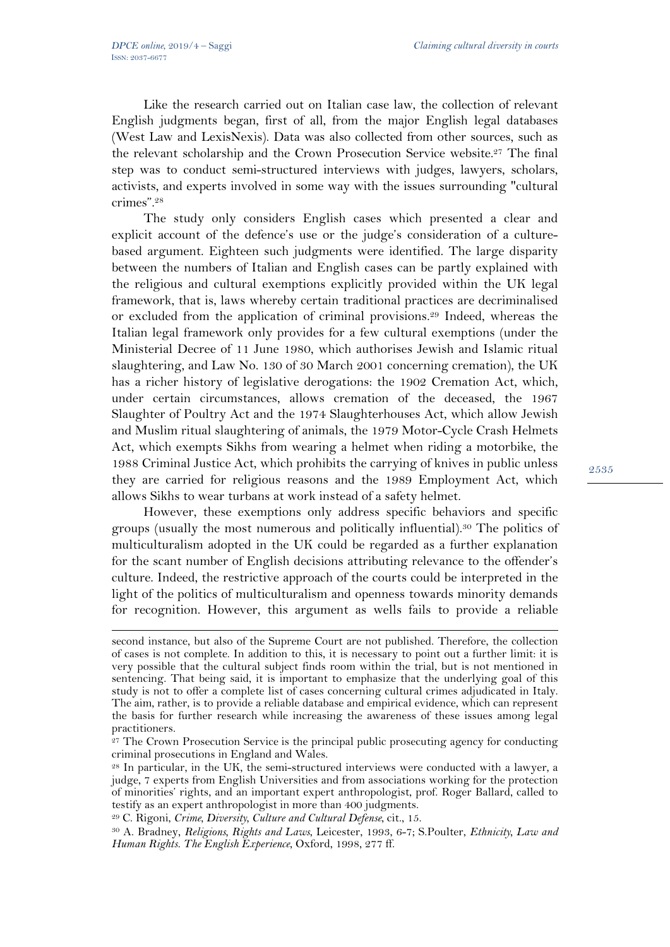1

Like the research carried out on Italian case law, the collection of relevant English judgments began, first of all, from the major English legal databases (West Law and LexisNexis). Data was also collected from other sources, such as the relevant scholarship and the Crown Prosecution Service website.<sup>27</sup> The final step was to conduct semi-structured interviews with judges, lawyers, scholars, activists, and experts involved in some way with the issues surrounding "cultural crimes".28

The study only considers English cases which presented a clear and explicit account of the defence's use or the judge's consideration of a culturebased argument. Eighteen such judgments were identified. The large disparity between the numbers of Italian and English cases can be partly explained with the religious and cultural exemptions explicitly provided within the UK legal framework, that is, laws whereby certain traditional practices are decriminalised or excluded from the application of criminal provisions.29 Indeed, whereas the Italian legal framework only provides for a few cultural exemptions (under the Ministerial Decree of 11 June 1980, which authorises Jewish and Islamic ritual slaughtering, and Law No. 130 of 30 March 2001 concerning cremation), the UK has a richer history of legislative derogations: the 1902 Cremation Act, which, under certain circumstances, allows cremation of the deceased, the 1967 Slaughter of Poultry Act and the 1974 Slaughterhouses Act, which allow Jewish and Muslim ritual slaughtering of animals, the 1979 Motor-Cycle Crash Helmets Act, which exempts Sikhs from wearing a helmet when riding a motorbike, the 1988 Criminal Justice Act, which prohibits the carrying of knives in public unless they are carried for religious reasons and the 1989 Employment Act, which allows Sikhs to wear turbans at work instead of a safety helmet.

However, these exemptions only address specific behaviors and specific groups (usually the most numerous and politically influential).30 The politics of multiculturalism adopted in the UK could be regarded as a further explanation for the scant number of English decisions attributing relevance to the offender's culture. Indeed, the restrictive approach of the courts could be interpreted in the light of the politics of multiculturalism and openness towards minority demands for recognition. However, this argument as wells fails to provide a reliable

second instance, but also of the Supreme Court are not published. Therefore, the collection of cases is not complete. In addition to this, it is necessary to point out a further limit: it is very possible that the cultural subject finds room within the trial, but is not mentioned in sentencing. That being said, it is important to emphasize that the underlying goal of this study is not to offer a complete list of cases concerning cultural crimes adjudicated in Italy. The aim, rather, is to provide a reliable database and empirical evidence, which can represent the basis for further research while increasing the awareness of these issues among legal practitioners.

<sup>&</sup>lt;sup>27</sup> The Crown Prosecution Service is the principal public prosecuting agency for conducting criminal prosecutions in England and Wales.

<sup>&</sup>lt;sup>28</sup> In particular, in the UK, the semi-structured interviews were conducted with a lawyer, a judge, 7 experts from English Universities and from associations working for the protection of minorities' rights, and an important expert anthropologist, prof. Roger Ballard, called to

<sup>&</sup>lt;sup>29</sup> C. Rigoni, Crime, Diversity, Culture and Cultural Defense, cit., 15.<br><sup>30</sup> A. Bradney, *Religions, Rights and Laws, L*eicester, 1993, 6-7; S.Poulter, *Ethnicity, Law and Human Rights. The English Experience*, Oxford, 1998, 277 ff.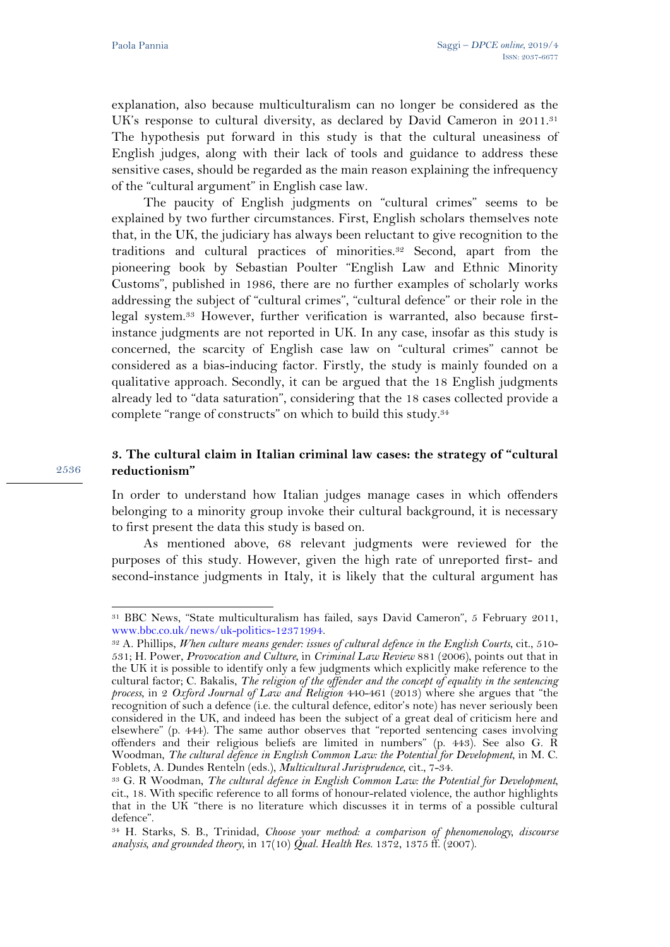explanation, also because multiculturalism can no longer be considered as the UK's response to cultural diversity, as declared by David Cameron in  $2011$ .<sup>31</sup> The hypothesis put forward in this study is that the cultural uneasiness of English judges, along with their lack of tools and guidance to address these sensitive cases, should be regarded as the main reason explaining the infrequency of the "cultural argument" in English case law.

The paucity of English judgments on "cultural crimes" seems to be explained by two further circumstances. First, English scholars themselves note that, in the UK, the judiciary has always been reluctant to give recognition to the traditions and cultural practices of minorities.32 Second, apart from the pioneering book by Sebastian Poulter "English Law and Ethnic Minority Customs", published in 1986, there are no further examples of scholarly works addressing the subject of "cultural crimes", "cultural defence" or their role in the legal system.33 However, further verification is warranted, also because firstinstance judgments are not reported in UK. In any case, insofar as this study is concerned, the scarcity of English case law on "cultural crimes" cannot be considered as a bias-inducing factor. Firstly, the study is mainly founded on a qualitative approach. Secondly, it can be argued that the 18 English judgments already led to "data saturation", considering that the 18 cases collected provide a complete "range of constructs" on which to build this study.34

### **3. The cultural claim in Italian criminal law cases: the strategy of "cultural reductionism"**

In order to understand how Italian judges manage cases in which offenders belonging to a minority group invoke their cultural background, it is necessary to first present the data this study is based on.

As mentioned above, 68 relevant judgments were reviewed for the purposes of this study. However, given the high rate of unreported first- and second-instance judgments in Italy, it is likely that the cultural argument has

 $\overline{a}$ 31 BBC News, "State multiculturalism has failed, says David Cameron", 5 February 2011,

www.bbc.co.uk/news/uk-politics-12371994. 32 A. Phillips, *When culture means gender: issues of cultural defence in the English Courts*, cit., 510- 531; H. Power, *Provocation and Culture*, in *Criminal Law Review* 881 (2006), points out that in the UK it is possible to identify only a few judgments which explicitly make reference to the cultural factor; C. Bakalis, *The religion of the offender and the concept of equality in the sentencing process*, in 2 *Oxford Journal of Law and Religion* 440-461 (2013) where she argues that "the recognition of such a defence (i.e. the cultural defence, editor's note) has never seriously been considered in the UK, and indeed has been the subject of a great deal of criticism here and elsewhere" (p. 444). The same author observes that "reported sentencing cases involving offenders and their religious beliefs are limited in numbers" (p. 443). See also G. R Woodman, *The cultural defence in English Common Law: the Potential for Development*, in M. C. Foblets, A. Dundes Renteln (eds.), *Multicultural Jurisprudence*, cit., 7-34.

<sup>&</sup>lt;sup>33</sup> G. R Woodman, *The cultural defence in English Common Law: the Potential for Development*, cit., 18. With specific reference to all forms of honour-related violence, the author highlights that in the UK "there is no literature which discusses it in terms of a possible cultural defence".

<sup>34</sup> H. Starks, S. B., Trinidad, *Choose your method: a comparison of phenomenology, discourse analysis, and grounded theory*, in 17(10) *Qual. Health Res.* 1372, 1375 ff. (2007).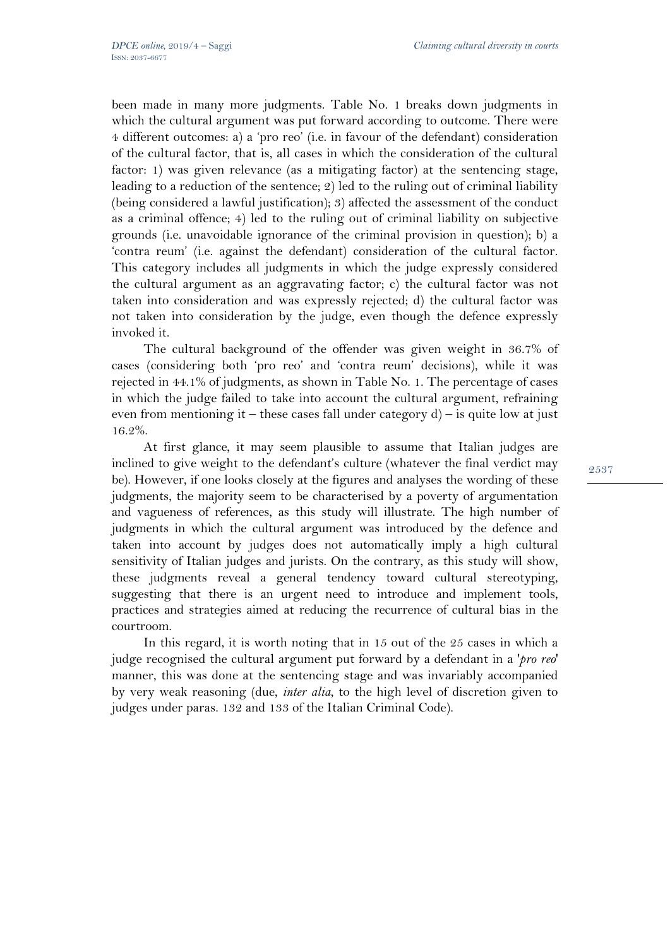been made in many more judgments. Table No. 1 breaks down judgments in which the cultural argument was put forward according to outcome. There were 4 different outcomes: a) a 'pro reo' (i.e. in favour of the defendant) consideration of the cultural factor, that is, all cases in which the consideration of the cultural factor: 1) was given relevance (as a mitigating factor) at the sentencing stage, leading to a reduction of the sentence; 2) led to the ruling out of criminal liability (being considered a lawful justification); 3) affected the assessment of the conduct as a criminal offence; 4) led to the ruling out of criminal liability on subjective grounds (i.e. unavoidable ignorance of the criminal provision in question); b) a 'contra reum' (i.e. against the defendant) consideration of the cultural factor. This category includes all judgments in which the judge expressly considered the cultural argument as an aggravating factor; c) the cultural factor was not taken into consideration and was expressly rejected; d) the cultural factor was not taken into consideration by the judge, even though the defence expressly invoked it.

The cultural background of the offender was given weight in 36.7% of cases (considering both 'pro reo' and 'contra reum' decisions), while it was rejected in 44.1% of judgments, as shown in Table No. 1. The percentage of cases in which the judge failed to take into account the cultural argument, refraining even from mentioning it – these cases fall under category  $d$ ) – is quite low at just 16.2%.

At first glance, it may seem plausible to assume that Italian judges are inclined to give weight to the defendant's culture (whatever the final verdict may be). However, if one looks closely at the figures and analyses the wording of these judgments, the majority seem to be characterised by a poverty of argumentation and vagueness of references, as this study will illustrate. The high number of judgments in which the cultural argument was introduced by the defence and taken into account by judges does not automatically imply a high cultural sensitivity of Italian judges and jurists. On the contrary, as this study will show, these judgments reveal a general tendency toward cultural stereotyping, suggesting that there is an urgent need to introduce and implement tools, practices and strategies aimed at reducing the recurrence of cultural bias in the courtroom.

In this regard, it is worth noting that in 15 out of the 25 cases in which a judge recognised the cultural argument put forward by a defendant in a '*pro reo*' manner, this was done at the sentencing stage and was invariably accompanied by very weak reasoning (due, *inter alia*, to the high level of discretion given to judges under paras. 132 and 133 of the Italian Criminal Code).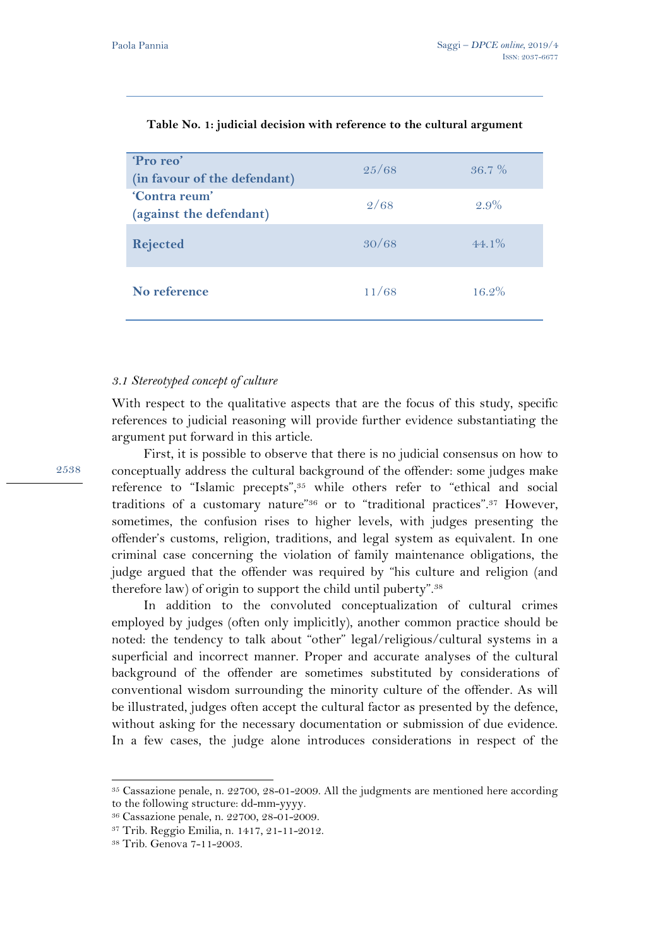| 'Pro reo'<br>(in favour of the defendant) | 25/68 | $36.7\%$ |
|-------------------------------------------|-------|----------|
| 'Contra reum'<br>(against the defendant)  | 2/68  | $2.9\%$  |
| Rejected                                  | 30/68 | $44.1\%$ |
| No reference                              | 11/68 | 16.2%    |

#### **Table No. 1: judicial decision with reference to the cultural argument**

#### *3.1 Stereotyped concept of culture*

With respect to the qualitative aspects that are the focus of this study, specific references to judicial reasoning will provide further evidence substantiating the argument put forward in this article.

First, it is possible to observe that there is no judicial consensus on how to conceptually address the cultural background of the offender: some judges make reference to "Islamic precepts",<sup>35</sup> while others refer to "ethical and social traditions of a customary nature"36 or to "traditional practices".37 However, sometimes, the confusion rises to higher levels, with judges presenting the offender's customs, religion, traditions, and legal system as equivalent. In one criminal case concerning the violation of family maintenance obligations, the judge argued that the offender was required by "his culture and religion (and therefore law) of origin to support the child until puberty".38

In addition to the convoluted conceptualization of cultural crimes employed by judges (often only implicitly), another common practice should be noted: the tendency to talk about "other" legal/religious/cultural systems in a superficial and incorrect manner. Proper and accurate analyses of the cultural background of the offender are sometimes substituted by considerations of conventional wisdom surrounding the minority culture of the offender. As will be illustrated, judges often accept the cultural factor as presented by the defence, without asking for the necessary documentation or submission of due evidence. In a few cases, the judge alone introduces considerations in respect of the

 $\overline{a}$ 

<sup>35</sup> Cassazione penale, n. 22700, 28-01-2009. All the judgments are mentioned here according to the following structure: dd-mm-yyyy.

<sup>36</sup> Cassazione penale, n. 22700, 28-01-2009.

<sup>37</sup> Trib. Reggio Emilia, n. 1417, 21-11-2012.

<sup>38</sup> Trib. Genova 7-11-2003.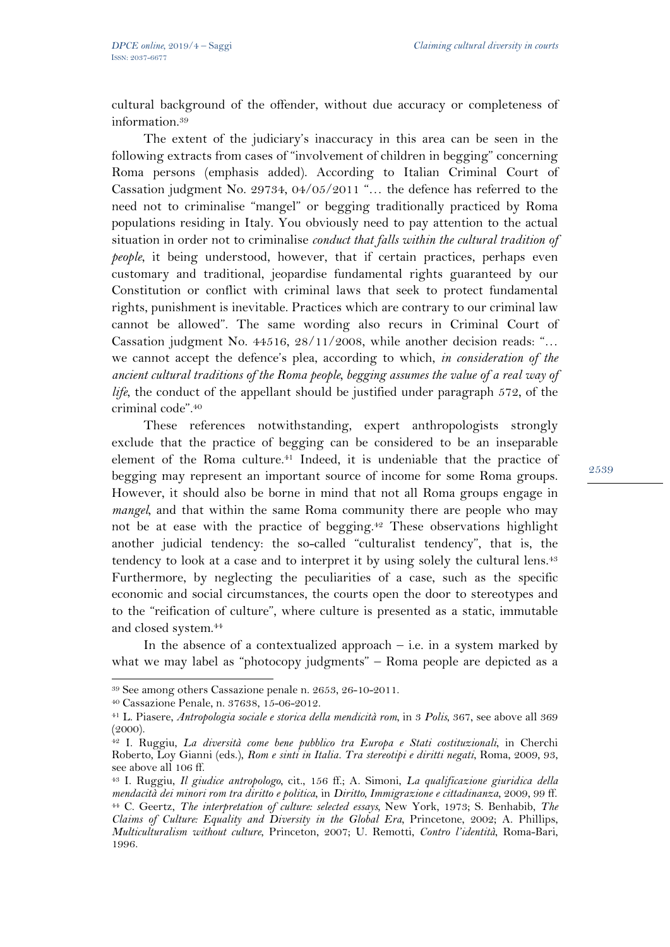cultural background of the offender, without due accuracy or completeness of information.39

The extent of the judiciary's inaccuracy in this area can be seen in the following extracts from cases of "involvement of children in begging" concerning Roma persons (emphasis added). According to Italian Criminal Court of Cassation judgment No. 29734, 04/05/2011 "… the defence has referred to the need not to criminalise "mangel" or begging traditionally practiced by Roma populations residing in Italy. You obviously need to pay attention to the actual situation in order not to criminalise *conduct that falls within the cultural tradition of people*, it being understood, however, that if certain practices, perhaps even customary and traditional, jeopardise fundamental rights guaranteed by our Constitution or conflict with criminal laws that seek to protect fundamental rights, punishment is inevitable. Practices which are contrary to our criminal law cannot be allowed". The same wording also recurs in Criminal Court of Cassation judgment No. 44516, 28/11/2008, while another decision reads: "… we cannot accept the defence's plea, according to which, *in consideration of the ancient cultural traditions of the Roma people, begging assumes the value of a real way of life*, the conduct of the appellant should be justified under paragraph 572, of the criminal code".40

These references notwithstanding, expert anthropologists strongly exclude that the practice of begging can be considered to be an inseparable element of the Roma culture.<sup>41</sup> Indeed, it is undeniable that the practice of begging may represent an important source of income for some Roma groups. However, it should also be borne in mind that not all Roma groups engage in *mangel*, and that within the same Roma community there are people who may not be at ease with the practice of begging.<sup>42</sup> These observations highlight another judicial tendency: the so-called "culturalist tendency", that is, the tendency to look at a case and to interpret it by using solely the cultural lens.<sup>43</sup> Furthermore, by neglecting the peculiarities of a case, such as the specific economic and social circumstances, the courts open the door to stereotypes and to the "reification of culture", where culture is presented as a static, immutable and closed system.44

In the absence of a contextualized approach  $-$  i.e. in a system marked by what we may label as "photocopy judgments" – Roma people are depicted as a

<sup>39</sup> See among others Cassazione penale n. 2653, 26-10-2011.

<sup>40</sup> Cassazione Penale, n. 37638, 15-06-2012.

<sup>41</sup> L. Piasere, *Antropologia sociale e storica della mendicità rom*, in 3 *Polis*, 367, see above all 369  $(2000).$ 

<sup>42</sup> I. Ruggiu, *La diversità come bene pubblico tra Europa e Stati costituzionali*, in Cherchi Roberto, Loy Gianni (eds.), *Rom e sinti in Italia. Tra stereotipi e diritti negati*, Roma, 2009, 93, see above all 106 ff.

<sup>43</sup> I. Ruggiu, *Il giudice antropologo*, cit., 156 ff.; A. Simoni, *La qualificazione giuridica della*  <sup>44</sup> C. Geertz, *The interpretation of culture: selected essays*, New York, 1973; S. Benhabib, *The Claims of Culture: Equality and Diversity in the Global Era, Princetone, 2002; A. Phillips, Multiculturalism without culture*, Princeton, 2007; U. Remotti, *Contro l'identità*, Roma-Bari, 1996.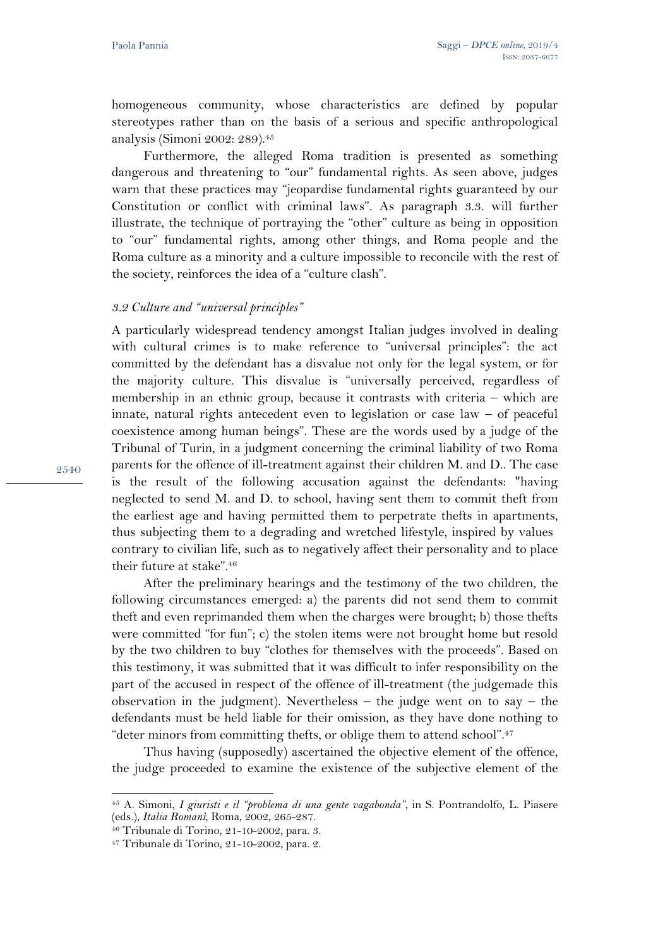homogeneous community, whose characteristics are defined by popular stereotypes rather than on the basis of a serious and specific anthropological analysis (Simoni 2002: 289).45

Furthermore, the alleged Roma tradition is presented as something dangerous and threatening to "our" fundamental rights. As seen above, judges warn that these practices may "jeopardise fundamental rights guaranteed by our Constitution or conflict with criminal laws". As paragraph 3.3. will further illustrate, the technique of portraying the "other" culture as being in opposition to "our" fundamental rights, among other things, and Roma people and the Roma culture as a minority and a culture impossible to reconcile with the rest of the society, reinforces the idea of a "culture clash".

#### *3.2 Culture and "universal principles"*

A particularly widespread tendency amongst Italian judges involved in dealing with cultural crimes is to make reference to "universal principles": the act committed by the defendant has a disvalue not only for the legal system, or for the majority culture. This disvalue is "universally perceived, regardless of membership in an ethnic group, because it contrasts with criteria – which are innate, natural rights antecedent even to legislation or case law – of peaceful coexistence among human beings". These are the words used by a judge of the Tribunal of Turin, in a judgment concerning the criminal liability of two Roma parents for the offence of ill-treatment against their children M. and D.. The case is the result of the following accusation against the defendants: "having neglected to send M. and D. to school, having sent them to commit theft from the earliest age and having permitted them to perpetrate thefts in apartments, thus subjecting them to a degrading and wretched lifestyle, inspired by values contrary to civilian life, such as to negatively affect their personality and to place their future at stake".46

After the preliminary hearings and the testimony of the two children, the following circumstances emerged: a) the parents did not send them to commit theft and even reprimanded them when the charges were brought; b) those thefts were committed "for fun"; c) the stolen items were not brought home but resold by the two children to buy "clothes for themselves with the proceeds". Based on this testimony, it was submitted that it was difficult to infer responsibility on the part of the accused in respect of the offence of ill-treatment (the judgemade this observation in the judgment). Nevertheless – the judge went on to say – the defendants must be held liable for their omission, as they have done nothing to "deter minors from committing thefts, or oblige them to attend school".47

Thus having (supposedly) ascertained the objective element of the offence, the judge proceeded to examine the existence of the subjective element of the

9540

<sup>45</sup> A. Simoni, *I giuristi e il "problema di una gente vagabonda"*, in S. Pontrandolfo, L. Piasere (eds.), *Italia Romanì*, Roma, 2002, 265-287. 46 Tribunale di Torino, 21-10-2002, para. 3. 47 Tribunale di Torino, 21-10-2002, para. 2.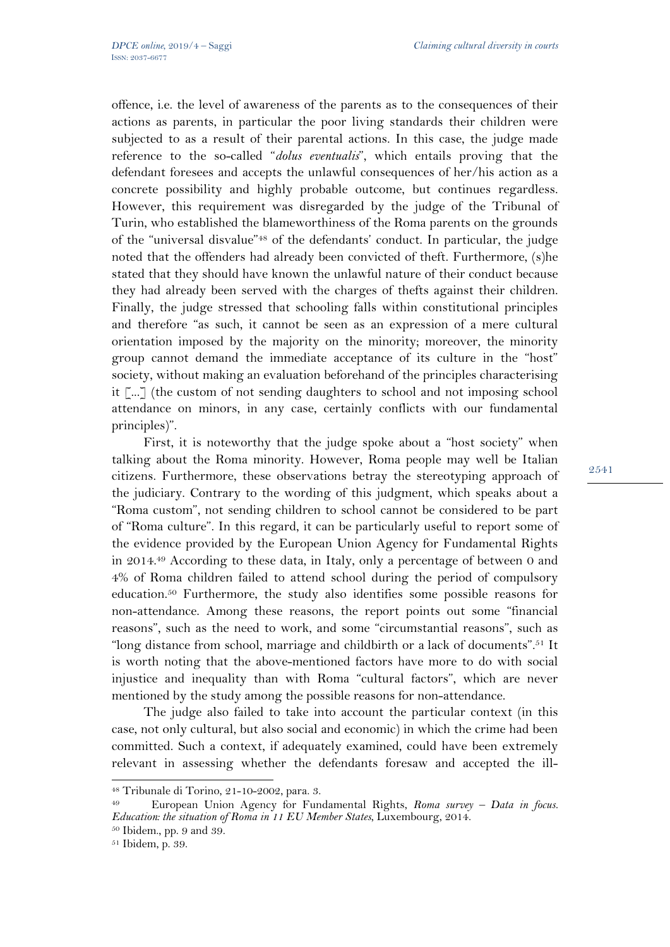offence, i.e. the level of awareness of the parents as to the consequences of their actions as parents, in particular the poor living standards their children were subjected to as a result of their parental actions. In this case, the judge made reference to the so-called "*dolus eventualis*", which entails proving that the defendant foresees and accepts the unlawful consequences of her/his action as a concrete possibility and highly probable outcome, but continues regardless. However, this requirement was disregarded by the judge of the Tribunal of Turin, who established the blameworthiness of the Roma parents on the grounds of the "universal disvalue"48 of the defendants' conduct. In particular, the judge noted that the offenders had already been convicted of theft. Furthermore, (s)he stated that they should have known the unlawful nature of their conduct because they had already been served with the charges of thefts against their children. Finally, the judge stressed that schooling falls within constitutional principles and therefore "as such, it cannot be seen as an expression of a mere cultural orientation imposed by the majority on the minority; moreover, the minority group cannot demand the immediate acceptance of its culture in the "host" society, without making an evaluation beforehand of the principles characterising it [...] (the custom of not sending daughters to school and not imposing school attendance on minors, in any case, certainly conflicts with our fundamental principles)".

First, it is noteworthy that the judge spoke about a "host society" when talking about the Roma minority. However, Roma people may well be Italian citizens. Furthermore, these observations betray the stereotyping approach of the judiciary. Contrary to the wording of this judgment, which speaks about a "Roma custom", not sending children to school cannot be considered to be part of "Roma culture". In this regard, it can be particularly useful to report some of the evidence provided by the European Union Agency for Fundamental Rights in 2014.49 According to these data, in Italy, only a percentage of between 0 and 4% of Roma children failed to attend school during the period of compulsory education.50 Furthermore, the study also identifies some possible reasons for non-attendance. Among these reasons, the report points out some "financial reasons", such as the need to work, and some "circumstantial reasons", such as "long distance from school, marriage and childbirth or a lack of documents".<sup>51</sup> It is worth noting that the above-mentioned factors have more to do with social injustice and inequality than with Roma "cultural factors", which are never mentioned by the study among the possible reasons for non-attendance.

The judge also failed to take into account the particular context (in this case, not only cultural, but also social and economic) in which the crime had been committed. Such a context, if adequately examined, could have been extremely relevant in assessing whether the defendants foresaw and accepted the ill-

<sup>48</sup> Tribunale di Torino, 21-10-2002, para. 3. 49 European Union Agency for Fundamental Rights, *Roma survey – Data in focus. Education: the situation of Roma in 11 EU Member States*, Luxembourg, 2014. 50 Ibidem., pp. 9 and 39.

<sup>51</sup> Ibidem, p. 39.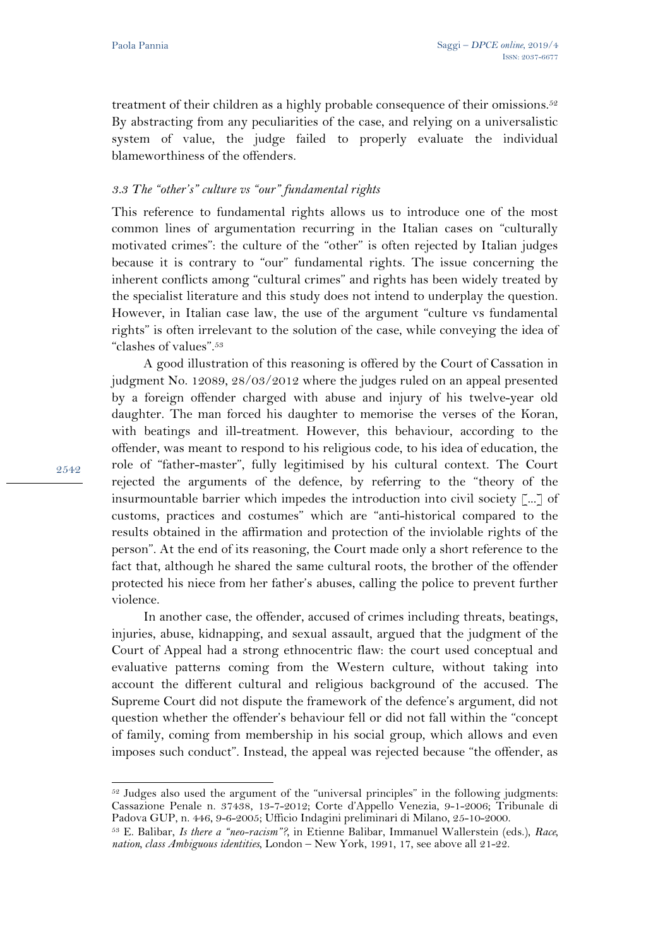treatment of their children as a highly probable consequence of their omissions.<sup>52</sup> By abstracting from any peculiarities of the case, and relying on a universalistic system of value, the judge failed to properly evaluate the individual blameworthiness of the offenders.

#### *3.3 The "other's" culture vs "our" fundamental rights*

This reference to fundamental rights allows us to introduce one of the most common lines of argumentation recurring in the Italian cases on "culturally motivated crimes": the culture of the "other" is often rejected by Italian judges because it is contrary to "our" fundamental rights. The issue concerning the inherent conflicts among "cultural crimes" and rights has been widely treated by the specialist literature and this study does not intend to underplay the question. However, in Italian case law, the use of the argument "culture vs fundamental rights" is often irrelevant to the solution of the case, while conveying the idea of "clashes of values".53

A good illustration of this reasoning is offered by the Court of Cassation in judgment No. 12089, 28/03/2012 where the judges ruled on an appeal presented by a foreign offender charged with abuse and injury of his twelve-year old daughter. The man forced his daughter to memorise the verses of the Koran, with beatings and ill-treatment. However, this behaviour, according to the offender, was meant to respond to his religious code, to his idea of education, the role of "father-master", fully legitimised by his cultural context. The Court rejected the arguments of the defence, by referring to the "theory of the insurmountable barrier which impedes the introduction into civil society  $\lceil ... \rceil$  of customs, practices and costumes" which are "anti-historical compared to the results obtained in the affirmation and protection of the inviolable rights of the person". At the end of its reasoning, the Court made only a short reference to the fact that, although he shared the same cultural roots, the brother of the offender protected his niece from her father's abuses, calling the police to prevent further violence.

In another case, the offender, accused of crimes including threats, beatings, injuries, abuse, kidnapping, and sexual assault, argued that the judgment of the Court of Appeal had a strong ethnocentric flaw: the court used conceptual and evaluative patterns coming from the Western culture, without taking into account the different cultural and religious background of the accused. The Supreme Court did not dispute the framework of the defence's argument, did not question whether the offender's behaviour fell or did not fall within the "concept of family, coming from membership in his social group, which allows and even imposes such conduct". Instead, the appeal was rejected because "the offender, as

9549

<sup>&</sup>lt;sup>52</sup> Judges also used the argument of the "universal principles" in the following judgments: Cassazione Penale n. 37438, 13-7-2012; Corte d'Appello Venezia, 9-1-2006; Tribunale di Padova GUP, n. 446, 9-6-2005; Ufficio Indagini preliminari di Milano, 25-10-2000.

<sup>53</sup> E. Balibar, *Is there a "neo-racism"?*, in Etienne Balibar, Immanuel Wallerstein (eds.), *Race, nation, class Ambiguous identities*, London – New York, 1991, 17, see above all 21-22.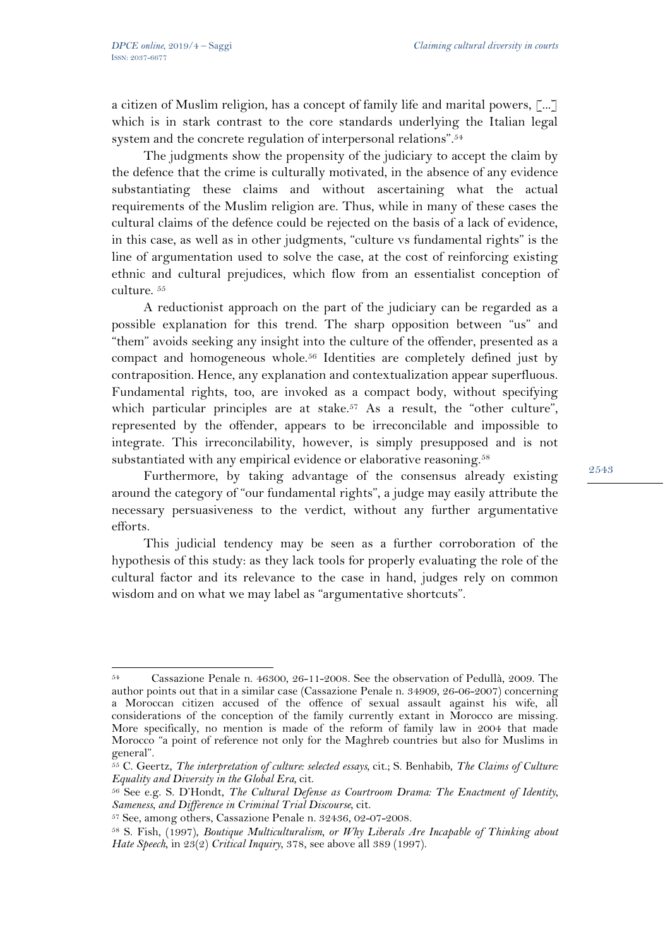a citizen of Muslim religion, has a concept of family life and marital powers, [...] which is in stark contrast to the core standards underlying the Italian legal system and the concrete regulation of interpersonal relations".54

The judgments show the propensity of the judiciary to accept the claim by the defence that the crime is culturally motivated, in the absence of any evidence substantiating these claims and without ascertaining what the actual requirements of the Muslim religion are. Thus, while in many of these cases the cultural claims of the defence could be rejected on the basis of a lack of evidence, in this case, as well as in other judgments, "culture vs fundamental rights" is the line of argumentation used to solve the case, at the cost of reinforcing existing ethnic and cultural prejudices, which flow from an essentialist conception of culture. 55

A reductionist approach on the part of the judiciary can be regarded as a possible explanation for this trend. The sharp opposition between "us" and "them" avoids seeking any insight into the culture of the offender, presented as a compact and homogeneous whole.<sup>56</sup> Identities are completely defined just by contraposition. Hence, any explanation and contextualization appear superfluous. Fundamental rights, too, are invoked as a compact body, without specifying which particular principles are at stake.<sup>57</sup> As a result, the "other culture", represented by the offender, appears to be irreconcilable and impossible to integrate. This irreconcilability, however, is simply presupposed and is not substantiated with any empirical evidence or elaborative reasoning.<sup>58</sup>

Furthermore, by taking advantage of the consensus already existing around the category of "our fundamental rights", a judge may easily attribute the necessary persuasiveness to the verdict, without any further argumentative efforts.

This judicial tendency may be seen as a further corroboration of the hypothesis of this study: as they lack tools for properly evaluating the role of the cultural factor and its relevance to the case in hand, judges rely on common wisdom and on what we may label as "argumentative shortcuts".

 $\overline{a}$ 

<sup>54</sup> Cassazione Penale n. 46300, 26-11-2008. See the observation of Pedullà, 2009. The author points out that in a similar case (Cassazione Penale n. 34909, 26-06-2007) concerning a Moroccan citizen accused of the offence of sexual assault against his wife, all considerations of the conception of the family currently extant in Morocco are missing. More specifically, no mention is made of the reform of family law in 2004 that made Morocco "a point of reference not only for the Maghreb countries but also for Muslims in general".

<sup>55</sup> C. Geertz, *The interpretation of culture: selected essays,* cit.; S. Benhabib, *The Claims of Culture:* 

*Equality and Diversity in the Global Era, cit.*<br><sup>56</sup> See e.g. S. D'Hondt, *The Cultural Defense as Courtroom Drama: The Enactment of Identity, Sameness, and Difference in Criminal Trial Discourse, cit.* 

<sup>&</sup>lt;sup>57</sup> See, among others, Cassazione Penale n. 32436, 02-07-2008.

<sup>58</sup> S. Fish, (1997), *Boutique Multiculturalism, or Why Liberals Are Incapable of Thinking about Hate Speech*, in 23(2) *Critical Inquiry*, 378, see above all 389 (1997).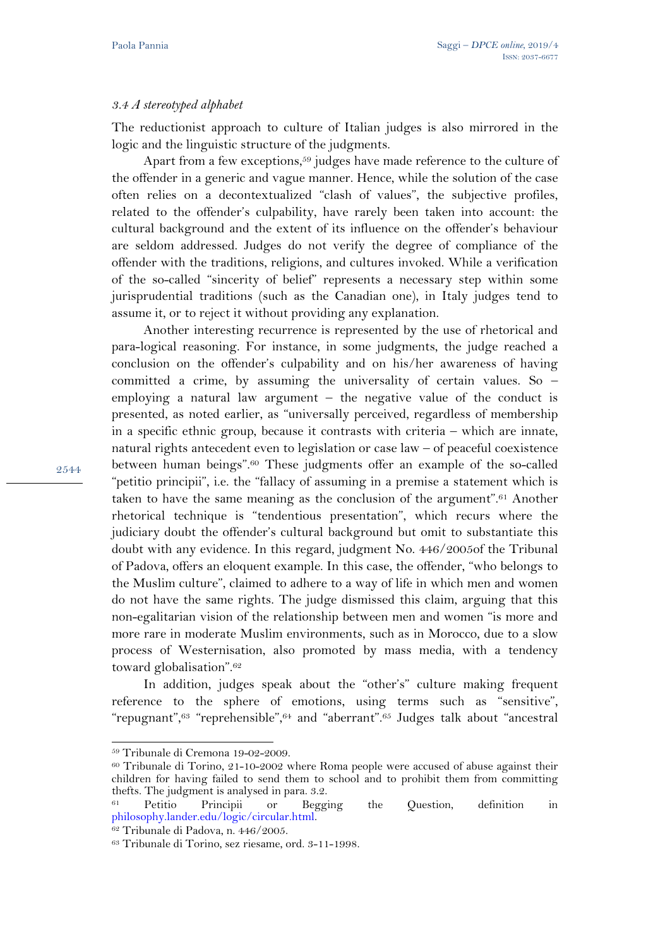2544

#### *3.4 A stereotyped alphabet*

The reductionist approach to culture of Italian judges is also mirrored in the logic and the linguistic structure of the judgments.

Apart from a few exceptions,<sup>59</sup> judges have made reference to the culture of the offender in a generic and vague manner. Hence, while the solution of the case often relies on a decontextualized "clash of values", the subjective profiles, related to the offender's culpability, have rarely been taken into account: the cultural background and the extent of its influence on the offender's behaviour are seldom addressed. Judges do not verify the degree of compliance of the offender with the traditions, religions, and cultures invoked. While a verification of the so-called "sincerity of belief" represents a necessary step within some jurisprudential traditions (such as the Canadian one), in Italy judges tend to assume it, or to reject it without providing any explanation.

Another interesting recurrence is represented by the use of rhetorical and para-logical reasoning. For instance, in some judgments, the judge reached a conclusion on the offender's culpability and on his/her awareness of having committed a crime, by assuming the universality of certain values. So – employing a natural law argument – the negative value of the conduct is presented, as noted earlier, as "universally perceived, regardless of membership in a specific ethnic group, because it contrasts with criteria – which are innate, natural rights antecedent even to legislation or case law – of peaceful coexistence between human beings".60 These judgments offer an example of the so-called "petitio principii", i.e. the "fallacy of assuming in a premise a statement which is taken to have the same meaning as the conclusion of the argument".61 Another rhetorical technique is "tendentious presentation", which recurs where the judiciary doubt the offender's cultural background but omit to substantiate this doubt with any evidence. In this regard, judgment No. 446/2005of the Tribunal of Padova, offers an eloquent example. In this case, the offender, "who belongs to the Muslim culture", claimed to adhere to a way of life in which men and women do not have the same rights. The judge dismissed this claim, arguing that this non-egalitarian vision of the relationship between men and women "is more and more rare in moderate Muslim environments, such as in Morocco, due to a slow process of Westernisation, also promoted by mass media, with a tendency toward globalisation".62

In addition, judges speak about the "other's" culture making frequent reference to the sphere of emotions, using terms such as "sensitive", "repugnant",<sup>63</sup> "reprehensible",<sup>64</sup> and "aberrant".<sup>65</sup> Judges talk about "ancestral

<sup>59</sup> Tribunale di Cremona 19-02-2009.

 $60$  Tribunale di Torino, 21-10-2002 where Roma people were accused of abuse against their children for having failed to send them to school and to prohibit them from committing thefts. The judgment is analysed in para. 3.2.

<sup>61</sup> Petitio Principii or Begging the Question, definition in philosophy.lander.edu/logic/circular.html. 62 Tribunale di Padova, n. 446/2005.

<sup>63</sup> Tribunale di Torino, sez riesame, ord. 3-11-1998.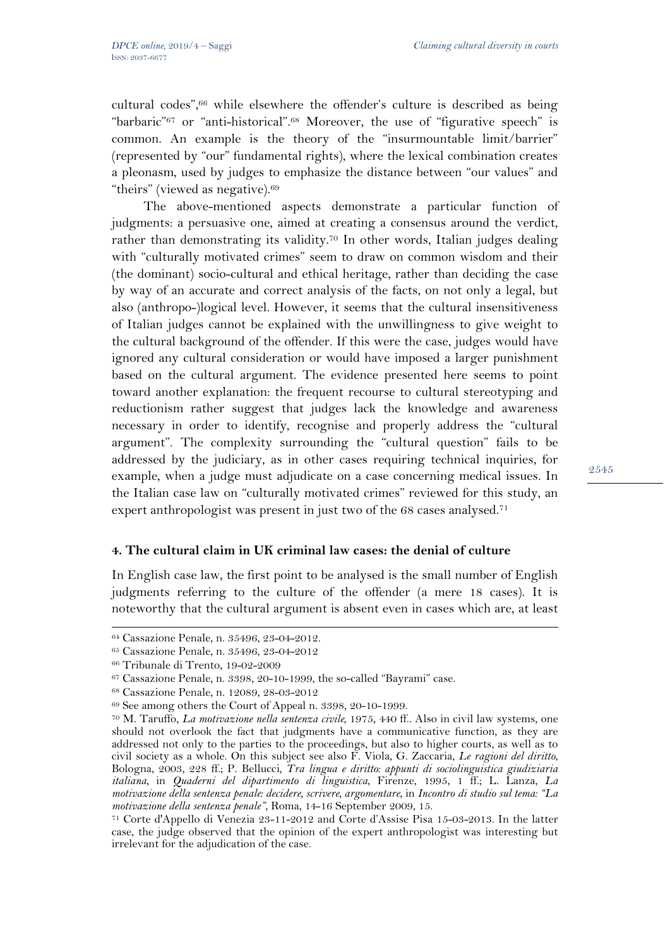cultural codes",66 while elsewhere the offender's culture is described as being "barbaric"67 or "anti-historical".68 Moreover, the use of "figurative speech" is common. An example is the theory of the "insurmountable limit/barrier" (represented by "our" fundamental rights), where the lexical combination creates a pleonasm, used by judges to emphasize the distance between "our values" and "theirs" (viewed as negative).69

The above-mentioned aspects demonstrate a particular function of judgments: a persuasive one, aimed at creating a consensus around the verdict, rather than demonstrating its validity.<sup>70</sup> In other words, Italian judges dealing with "culturally motivated crimes" seem to draw on common wisdom and their (the dominant) socio-cultural and ethical heritage, rather than deciding the case by way of an accurate and correct analysis of the facts, on not only a legal, but also (anthropo-)logical level. However, it seems that the cultural insensitiveness of Italian judges cannot be explained with the unwillingness to give weight to the cultural background of the offender. If this were the case, judges would have ignored any cultural consideration or would have imposed a larger punishment based on the cultural argument. The evidence presented here seems to point toward another explanation: the frequent recourse to cultural stereotyping and reductionism rather suggest that judges lack the knowledge and awareness necessary in order to identify, recognise and properly address the "cultural argument". The complexity surrounding the "cultural question" fails to be addressed by the judiciary, as in other cases requiring technical inquiries, for example, when a judge must adjudicate on a case concerning medical issues. In the Italian case law on "culturally motivated crimes" reviewed for this study, an expert anthropologist was present in just two of the 68 cases analysed.<sup>71</sup>

#### **4. The cultural claim in UK criminal law cases: the denial of culture**

In English case law, the first point to be analysed is the small number of English judgments referring to the culture of the offender (a mere 18 cases). It is noteworthy that the cultural argument is absent even in cases which are, at least

1

<sup>64</sup> Cassazione Penale, n. 35496, 23-04-2012.

<sup>65</sup> Cassazione Penale, n. 35496, 23-04-2012

<sup>66</sup> Tribunale di Trento, 19-02-2009

 $^{67}$  Cassazione Penale, n. 3398, 20-10-1999, the so-called "Bayrami" case.  $^{68}$  Cassazione Penale, n. 12089, 28-03-2012

<sup>69</sup> See among others the Court of Appeal n. 3398, 20-10-1999.

<sup>70</sup> M. Taruffo, *La motivazione nella sentenza civile,* 1975, 440 ff.. Also in civil law systems, one should not overlook the fact that judgments have a communicative function, as they are addressed not only to the parties to the proceedings, but also to higher courts, as well as to civil society as a whole. On this subject see also F. Viola, G. Zaccaria, *Le ragioni del diritto*, Bologna, 2003, 228 ff.; P. Bellucci*, Tra lingua e diritto: appunti di sociolinguistica giudiziaria italiana*, in *Quaderni del dipartimento di linguistica*, Firenze, 1995, 1 ff.; L. Lanza, *La motivazione della sentenza penale: decidere, scrivere, argomentare*, in *Incontro di studio sul tema: "La* 

*motivazione della sentenza penale"*, Roma, 14-16 September 2009, 15. 71 Corte d'Appello di Venezia 23-11-2012 and Corte d'Assise Pisa 15-03-2013. In the latter case, the judge observed that the opinion of the expert anthropologist was interesting but irrelevant for the adjudication of the case.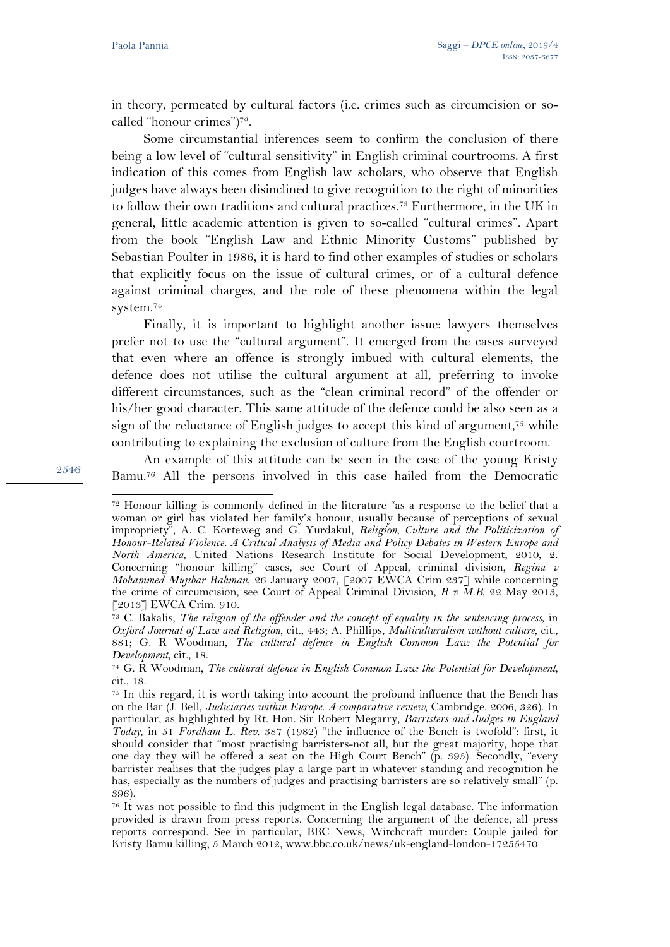2546

 $\overline{a}$ 

in theory, permeated by cultural factors (i.e. crimes such as circumcision or socalled "honour crimes")72.

Some circumstantial inferences seem to confirm the conclusion of there being a low level of "cultural sensitivity" in English criminal courtrooms. A first indication of this comes from English law scholars, who observe that English judges have always been disinclined to give recognition to the right of minorities to follow their own traditions and cultural practices.73 Furthermore, in the UK in general, little academic attention is given to so-called "cultural crimes". Apart from the book "English Law and Ethnic Minority Customs" published by Sebastian Poulter in 1986, it is hard to find other examples of studies or scholars that explicitly focus on the issue of cultural crimes, or of a cultural defence against criminal charges, and the role of these phenomena within the legal system.74

Finally, it is important to highlight another issue: lawyers themselves prefer not to use the "cultural argument". It emerged from the cases surveyed that even where an offence is strongly imbued with cultural elements, the defence does not utilise the cultural argument at all, preferring to invoke different circumstances, such as the "clean criminal record" of the offender or his/her good character. This same attitude of the defence could be also seen as a sign of the reluctance of English judges to accept this kind of argument,<sup> $75$ </sup> while contributing to explaining the exclusion of culture from the English courtroom.

An example of this attitude can be seen in the case of the young Kristy Bamu.76 All the persons involved in this case hailed from the Democratic

<sup>72</sup> Honour killing is commonly defined in the literature "as a response to the belief that a woman or girl has violated her family's honour, usually because of perceptions of sexual impropriety", A. C. Korteweg and G. Yurdakul, *Religion, Culture and the Politicization of Honour-Related Violence. A Critical Analysis of Media and Policy Debates in Western Europe and North America*, United Nations Research Institute for Social Development, 2010, 2. Concerning "honour killing" cases, see Court of Appeal, criminal division, *Regina v Mohammed Mujibar Rahman*, 26 January 2007, [2007 EWCA Crim 237] while concerning the crime of circumcision, see Court of Appeal Criminal Division, *R v M.B*, 22 May 2013, [2013] EWCA Crim. 910.

<sup>73</sup> C. Bakalis, *The religion of the offender and the concept of equality in the sentencing process*, in *Oxford Journal of Law and Religion*, cit., 443; A. Phillips, *Multiculturalism without culture*, cit., 881; G. R Woodman, *The cultural defence in English Common Law: the Potential for Development*, cit., 18.<br><sup>74</sup> G. R Woodman, *The cultural defence in English Common Law: the Potential for Development*,

cit., 18.

<sup>75</sup> In this regard, it is worth taking into account the profound influence that the Bench has on the Bar (J. Bell, *Judiciaries within Europe. A comparative review*, Cambridge. 2006, 326). In particular, as highlighted by Rt. Hon. Sir Robert Megarry, *Barristers and Judges in England Today*, in 51 *Fordham L. Rev.* 387 (1982) "the influence of the Bench is twofold": first, it should consider that "most practising barristers-not all, but the great majority, hope that one day they will be offered a seat on the High Court Bench" (p. 395). Secondly, "every barrister realises that the judges play a large part in whatever standing and recognition he has, especially as the numbers of judges and practising barristers are so relatively small" (p. 396).

<sup>76</sup> It was not possible to find this judgment in the English legal database. The information provided is drawn from press reports. Concerning the argument of the defence, all press reports correspond. See in particular, BBC News, Witchcraft murder: Couple jailed for Kristy Bamu killing, 5 March 2012, www.bbc.co.uk/news/uk-england-london-17255470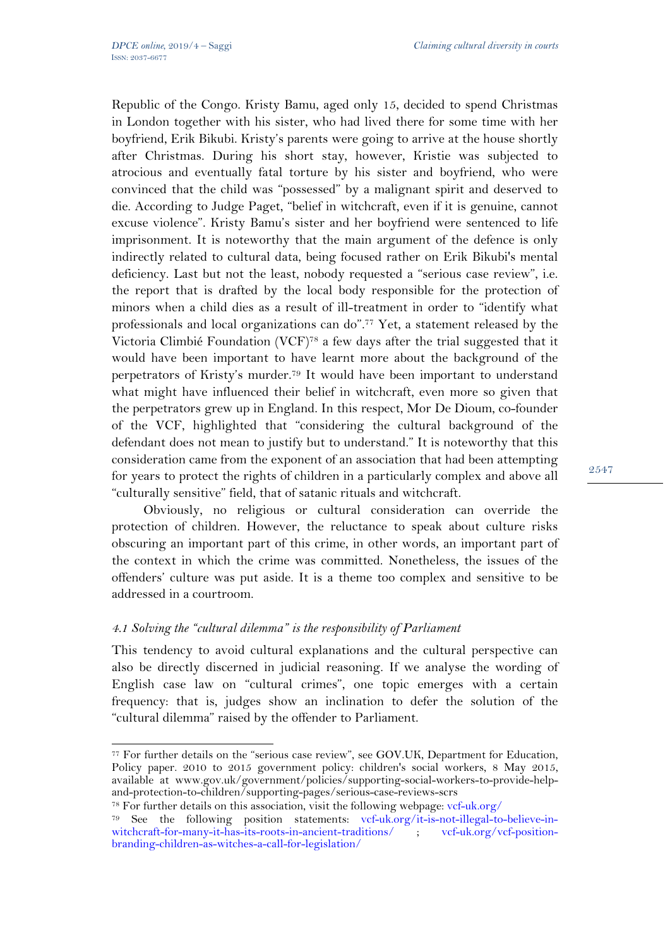Republic of the Congo. Kristy Bamu, aged only 15, decided to spend Christmas in London together with his sister, who had lived there for some time with her boyfriend, Erik Bikubi. Kristy's parents were going to arrive at the house shortly after Christmas. During his short stay, however, Kristie was subjected to atrocious and eventually fatal torture by his sister and boyfriend, who were convinced that the child was "possessed" by a malignant spirit and deserved to die. According to Judge Paget, "belief in witchcraft, even if it is genuine, cannot excuse violence". Kristy Bamu's sister and her boyfriend were sentenced to life imprisonment. It is noteworthy that the main argument of the defence is only indirectly related to cultural data, being focused rather on Erik Bikubi's mental deficiency. Last but not the least, nobody requested a "serious case review", i.e. the report that is drafted by the local body responsible for the protection of minors when a child dies as a result of ill-treatment in order to "identify what professionals and local organizations can do".77 Yet, a statement released by the Victoria Climbié Foundation (VCF)78 a few days after the trial suggested that it would have been important to have learnt more about the background of the perpetrators of Kristy's murder.79 It would have been important to understand what might have influenced their belief in witchcraft, even more so given that the perpetrators grew up in England. In this respect, Mor De Dioum, co-founder of the VCF, highlighted that "considering the cultural background of the defendant does not mean to justify but to understand." It is noteworthy that this consideration came from the exponent of an association that had been attempting for years to protect the rights of children in a particularly complex and above all "culturally sensitive" field, that of satanic rituals and witchcraft.

Obviously, no religious or cultural consideration can override the protection of children. However, the reluctance to speak about culture risks obscuring an important part of this crime, in other words, an important part of the context in which the crime was committed. Nonetheless, the issues of the offenders' culture was put aside. It is a theme too complex and sensitive to be addressed in a courtroom.

## *4.1 Solving the "cultural dilemma" is the responsibility of Parliament*

l

This tendency to avoid cultural explanations and the cultural perspective can also be directly discerned in judicial reasoning. If we analyse the wording of English case law on "cultural crimes", one topic emerges with a certain frequency: that is, judges show an inclination to defer the solution of the "cultural dilemma" raised by the offender to Parliament.

<sup>77</sup> For further details on the "serious case review", see GOV.UK, Department for Education, Policy paper. 2010 to 2015 government policy: children's social workers, 8 May 2015, available at www.gov.uk/government/policies/supporting-social-workers-to-provide-help-

<sup>&</sup>lt;sup>78</sup> For further details on this association, visit the following webpage: vcf-uk.org/<br><sup>79</sup> See the following position statements: vcf-uk.org/it-is-not-illegal-to-believe-inwitchcraft-for-many-it-has-its-roots-in-ancient-traditions/ ; vcf-uk.org/vcf-positionbranding-children-as-witches-a-call-for-legislation/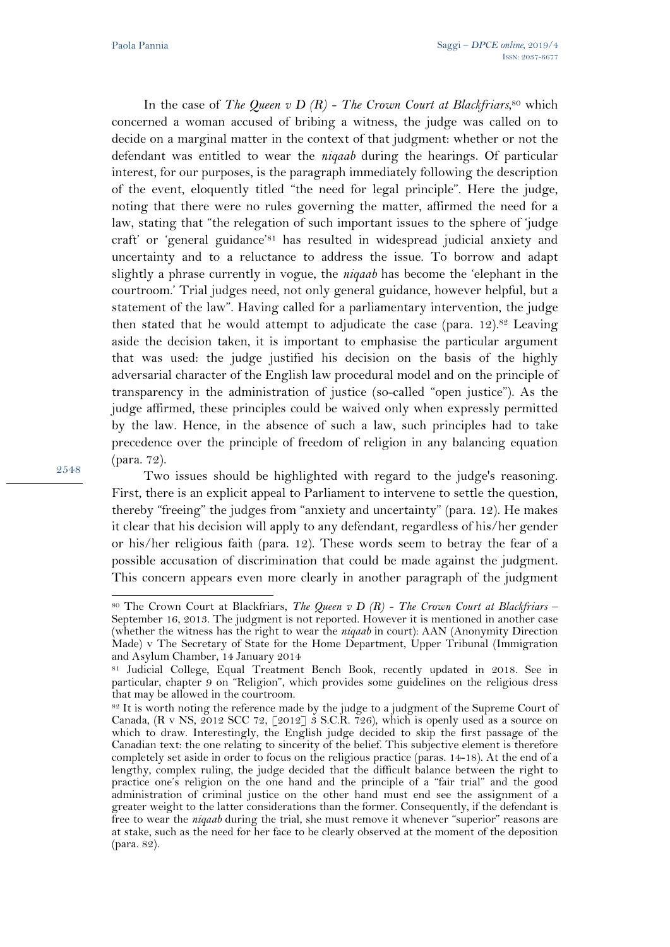In the case of *The Queen v D (R) - The Crown Court at Blackfriars*, 80 which concerned a woman accused of bribing a witness, the judge was called on to decide on a marginal matter in the context of that judgment: whether or not the defendant was entitled to wear the *niqaab* during the hearings. Of particular interest, for our purposes, is the paragraph immediately following the description of the event, eloquently titled "the need for legal principle". Here the judge, noting that there were no rules governing the matter, affirmed the need for a law, stating that "the relegation of such important issues to the sphere of 'judge craft' or 'general guidance'81 has resulted in widespread judicial anxiety and uncertainty and to a reluctance to address the issue. To borrow and adapt slightly a phrase currently in vogue, the *niqaab* has become the 'elephant in the courtroom.' Trial judges need, not only general guidance, however helpful, but a statement of the law". Having called for a parliamentary intervention, the judge then stated that he would attempt to adjudicate the case (para.  $12$ ).<sup>82</sup> Leaving aside the decision taken, it is important to emphasise the particular argument that was used: the judge justified his decision on the basis of the highly adversarial character of the English law procedural model and on the principle of transparency in the administration of justice (so-called "open justice"). As the judge affirmed, these principles could be waived only when expressly permitted by the law. Hence, in the absence of such a law, such principles had to take precedence over the principle of freedom of religion in any balancing equation (para. 72).

Two issues should be highlighted with regard to the judge's reasoning. First, there is an explicit appeal to Parliament to intervene to settle the question, thereby "freeing" the judges from "anxiety and uncertainty" (para. 12). He makes it clear that his decision will apply to any defendant, regardless of his/her gender or his/her religious faith (para. 12). These words seem to betray the fear of a possible accusation of discrimination that could be made against the judgment. This concern appears even more clearly in another paragraph of the judgment

9548

<sup>80</sup> The Crown Court at Blackfriars, *The Queen v D (R) - The Crown Court at Blackfriars* – September 16, 2013. The judgment is not reported. However it is mentioned in another case (whether the witness has the right to wear the *niqaab* in court): AAN (Anonymity Direction Made) v The Secretary of State for the Home Department, Upper Tribunal (Immigration and Asylum Chamber, 14 January 2014

<sup>81</sup> Judicial College, Equal Treatment Bench Book, recently updated in 2018. See in particular, chapter 9 on "Religion", which provides some guidelines on the religious dress that may be allowed in the courtroom.

 $82$  It is worth noting the reference made by the judge to a judgment of the Supreme Court of Canada, (R v NS,  $2012$  SCC 72, [2012] 3 S.C.R. 726), which is openly used as a source on which to draw. Interestingly, the English judge decided to skip the first passage of the Canadian text: the one relating to sincerity of the belief. This subjective element is therefore completely set aside in order to focus on the religious practice (paras. 14-18). At the end of a lengthy, complex ruling, the judge decided that the difficult balance between the right to practice one's religion on the one hand and the principle of a "fair trial" and the good administration of criminal justice on the other hand must end see the assignment of a greater weight to the latter considerations than the former. Consequently, if the defendant is free to wear the *niqaab* during the trial, she must remove it whenever "superior" reasons are at stake, such as the need for her face to be clearly observed at the moment of the deposition (para. 82).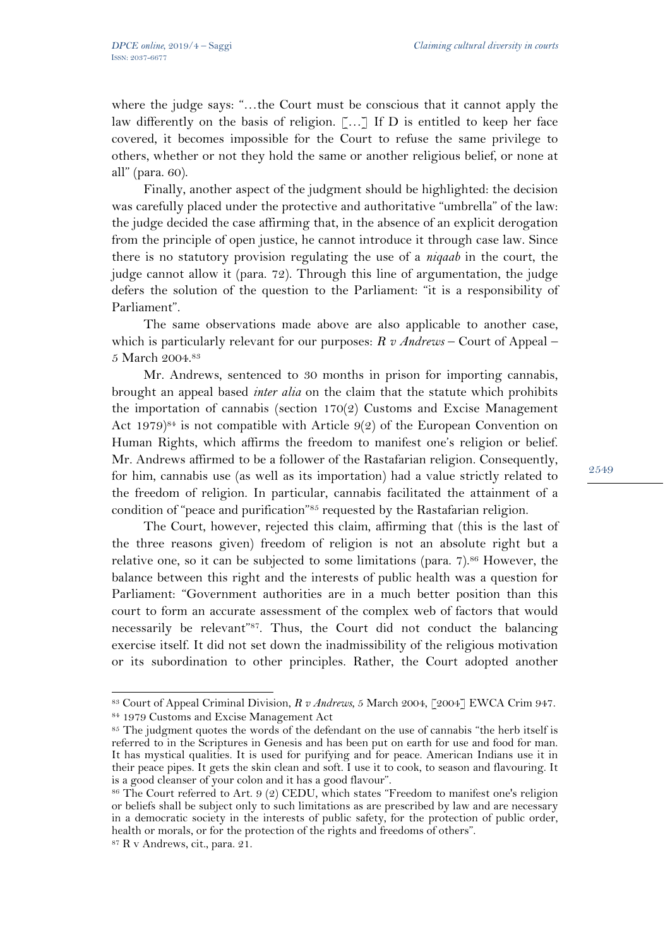where the judge says: "…the Court must be conscious that it cannot apply the law differently on the basis of religion.  $\lceil \ldots \rceil$  If D is entitled to keep her face covered, it becomes impossible for the Court to refuse the same privilege to others, whether or not they hold the same or another religious belief, or none at all" (para. 60).

Finally, another aspect of the judgment should be highlighted: the decision was carefully placed under the protective and authoritative "umbrella" of the law: the judge decided the case affirming that, in the absence of an explicit derogation from the principle of open justice, he cannot introduce it through case law. Since there is no statutory provision regulating the use of a *niqaab* in the court, the judge cannot allow it (para. 72). Through this line of argumentation, the judge defers the solution of the question to the Parliament: "it is a responsibility of Parliament".

The same observations made above are also applicable to another case, which is particularly relevant for our purposes: *R v Andrews* – Court of Appeal – 5 March 2004.83

Mr. Andrews, sentenced to 30 months in prison for importing cannabis, brought an appeal based *inter alia* on the claim that the statute which prohibits the importation of cannabis (section 170(2) Customs and Excise Management Act 1979)<sup>84</sup> is not compatible with Article  $9(2)$  of the European Convention on Human Rights, which affirms the freedom to manifest one's religion or belief. Mr. Andrews affirmed to be a follower of the Rastafarian religion. Consequently, for him, cannabis use (as well as its importation) had a value strictly related to the freedom of religion. In particular, cannabis facilitated the attainment of a condition of "peace and purification"85 requested by the Rastafarian religion.

The Court, however, rejected this claim, affirming that (this is the last of the three reasons given) freedom of religion is not an absolute right but a relative one, so it can be subjected to some limitations (para. 7).<sup>86</sup> However, the balance between this right and the interests of public health was a question for Parliament: "Government authorities are in a much better position than this court to form an accurate assessment of the complex web of factors that would necessarily be relevant"87. Thus, the Court did not conduct the balancing exercise itself. It did not set down the inadmissibility of the religious motivation or its subordination to other principles. Rather, the Court adopted another

<sup>83</sup> Court of Appeal Criminal Division, *R v Andrews*, 5 March 2004, [2004] EWCA Crim 947. 84 1979 Customs and Excise Management Act

<sup>&</sup>lt;sup>85</sup> The judgment quotes the words of the defendant on the use of cannabis "the herb itself is referred to in the Scriptures in Genesis and has been put on earth for use and food for man. It has mystical qualities. It is used for purifying and for peace. American Indians use it in their peace pipes. It gets the skin clean and soft. I use it to cook, to season and flavouring. It

 $186$  The Court referred to Art. 9 (2) CEDU, which states "Freedom to manifest one's religion or beliefs shall be subject only to such limitations as are prescribed by law and are necessary in a democratic society in the interests of public safety, for the protection of public order, health or morals, or for the protection of the rights and freedoms of others". 87 R v Andrews, cit., para. 21.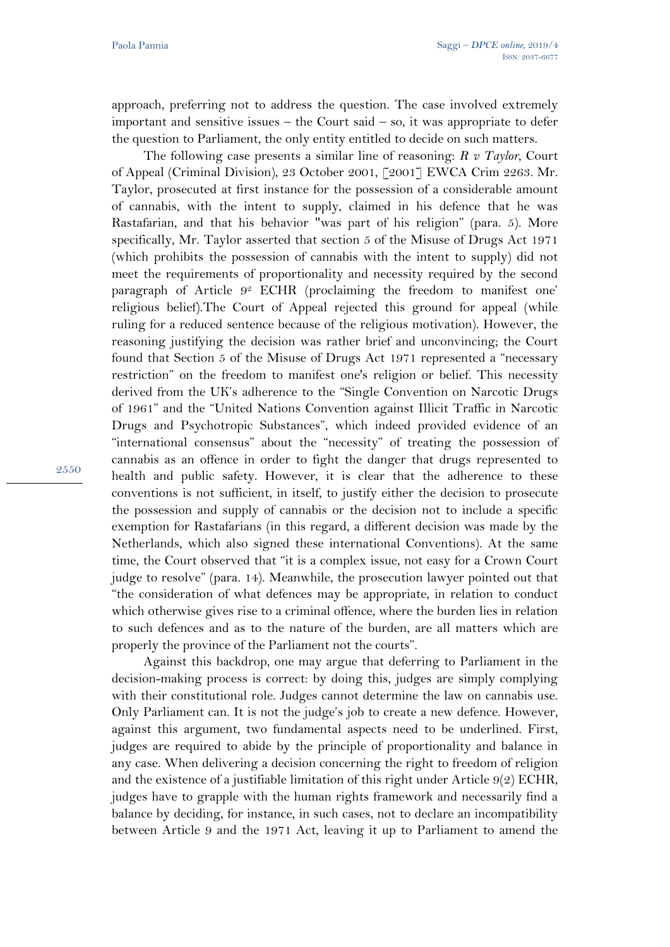approach, preferring not to address the question. The case involved extremely important and sensitive issues  $-$  the Court said  $-$  so, it was appropriate to defer the question to Parliament, the only entity entitled to decide on such matters.

The following case presents a similar line of reasoning: *R v Taylor*, Court of Appeal (Criminal Division), 23 October 2001, [2001] EWCA Crim 2263. Mr. Taylor, prosecuted at first instance for the possession of a considerable amount of cannabis, with the intent to supply, claimed in his defence that he was Rastafarian, and that his behavior "was part of his religion" (para. 5). More specifically, Mr. Taylor asserted that section 5 of the Misuse of Drugs Act 1971 (which prohibits the possession of cannabis with the intent to supply) did not meet the requirements of proportionality and necessity required by the second paragraph of Article  $9^2$  ECHR (proclaiming the freedom to manifest one' religious belief).The Court of Appeal rejected this ground for appeal (while ruling for a reduced sentence because of the religious motivation). However, the reasoning justifying the decision was rather brief and unconvincing; the Court found that Section 5 of the Misuse of Drugs Act 1971 represented a "necessary restriction" on the freedom to manifest one's religion or belief. This necessity derived from the UK's adherence to the "Single Convention on Narcotic Drugs of 1961" and the "United Nations Convention against Illicit Traffic in Narcotic Drugs and Psychotropic Substances", which indeed provided evidence of an "international consensus" about the "necessity" of treating the possession of cannabis as an offence in order to fight the danger that drugs represented to health and public safety. However, it is clear that the adherence to these conventions is not sufficient, in itself, to justify either the decision to prosecute the possession and supply of cannabis or the decision not to include a specific exemption for Rastafarians (in this regard, a different decision was made by the Netherlands, which also signed these international Conventions). At the same time, the Court observed that "it is a complex issue, not easy for a Crown Court judge to resolve" (para. 14). Meanwhile, the prosecution lawyer pointed out that "the consideration of what defences may be appropriate, in relation to conduct which otherwise gives rise to a criminal offence, where the burden lies in relation to such defences and as to the nature of the burden, are all matters which are properly the province of the Parliament not the courts".

Against this backdrop, one may argue that deferring to Parliament in the decision-making process is correct: by doing this, judges are simply complying with their constitutional role. Judges cannot determine the law on cannabis use. Only Parliament can. It is not the judge's job to create a new defence. However, against this argument, two fundamental aspects need to be underlined. First, judges are required to abide by the principle of proportionality and balance in any case. When delivering a decision concerning the right to freedom of religion and the existence of a justifiable limitation of this right under Article 9(2) ECHR, judges have to grapple with the human rights framework and necessarily find a balance by deciding, for instance, in such cases, not to declare an incompatibility between Article 9 and the 1971 Act, leaving it up to Parliament to amend the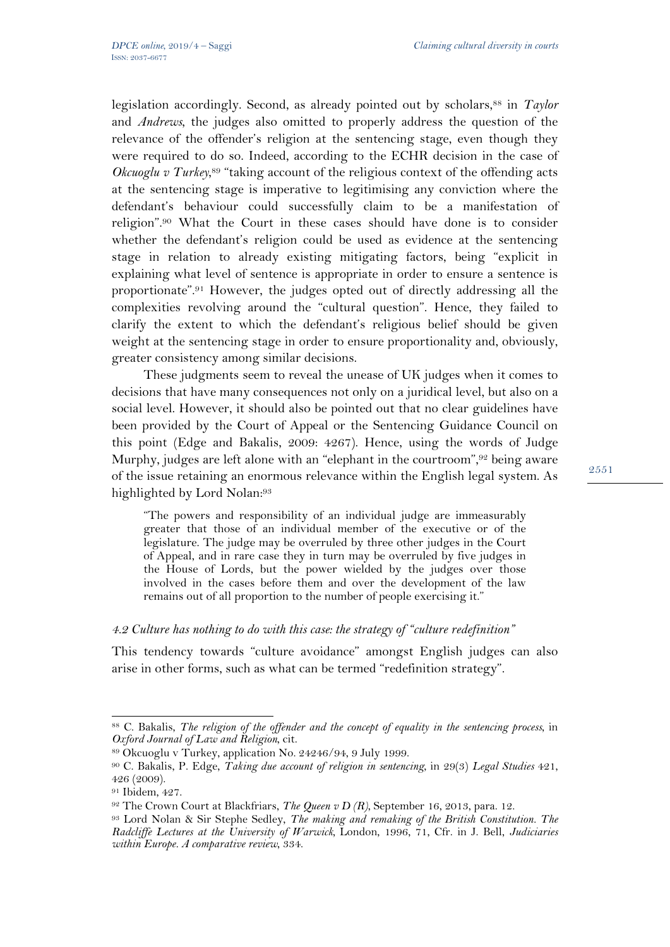legislation accordingly. Second, as already pointed out by scholars,<sup>88</sup> in *Taylor* and *Andrews*, the judges also omitted to properly address the question of the relevance of the offender's religion at the sentencing stage, even though they were required to do so. Indeed, according to the ECHR decision in the case of *Okcuoglu v Turkey*,<sup>89</sup> "taking account of the religious context of the offending acts at the sentencing stage is imperative to legitimising any conviction where the defendant's behaviour could successfully claim to be a manifestation of religion".90 What the Court in these cases should have done is to consider whether the defendant's religion could be used as evidence at the sentencing stage in relation to already existing mitigating factors, being "explicit in explaining what level of sentence is appropriate in order to ensure a sentence is proportionate".91 However, the judges opted out of directly addressing all the complexities revolving around the "cultural question". Hence, they failed to clarify the extent to which the defendant's religious belief should be given weight at the sentencing stage in order to ensure proportionality and, obviously, greater consistency among similar decisions.

These judgments seem to reveal the unease of UK judges when it comes to decisions that have many consequences not only on a juridical level, but also on a social level. However, it should also be pointed out that no clear guidelines have been provided by the Court of Appeal or the Sentencing Guidance Council on this point (Edge and Bakalis, 2009: 4267). Hence, using the words of Judge Murphy, judges are left alone with an "elephant in the courtroom",<sup>92</sup> being aware of the issue retaining an enormous relevance within the English legal system. As highlighted by Lord Nolan:93

"The powers and responsibility of an individual judge are immeasurably greater that those of an individual member of the executive or of the legislature. The judge may be overruled by three other judges in the Court of Appeal, and in rare case they in turn may be overruled by five judges in the House of Lords, but the power wielded by the judges over those involved in the cases before them and over the development of the law remains out of all proportion to the number of people exercising it."

#### *4.2 Culture has nothing to do with this case: the strategy of "culture redefinition"*

This tendency towards "culture avoidance" amongst English judges can also arise in other forms, such as what can be termed "redefinition strategy".

<sup>88</sup> C. Bakalis, *The religion of the offender and the concept of equality in the sentencing process*, in *Oxford Journal of Law and Religion*, cit.<br><sup>89</sup> Okcuoglu v Turkey, application No. 24246/94, 9 July 1999.

<sup>90</sup> C. Bakalis, P. Edge, *Taking due account of religion in sentencing*, in 29(3) *Legal Studies* 421, 426 (2009).

<sup>91</sup> Ibidem, 427.

<sup>&</sup>lt;sup>92</sup> The Crown Court at Blackfriars, *The Queen v D (R)*, September 16, 2013, para. 12.<br><sup>93</sup> Lord Nolan & Sir Stephe Sedley, *The making and remaking of the British Constitution. The Radcliffe Lectures at the University of Warwick,* London, 1996, 71, Cfr. in J. Bell, *Judiciaries within Europe. A comparative review*, 334.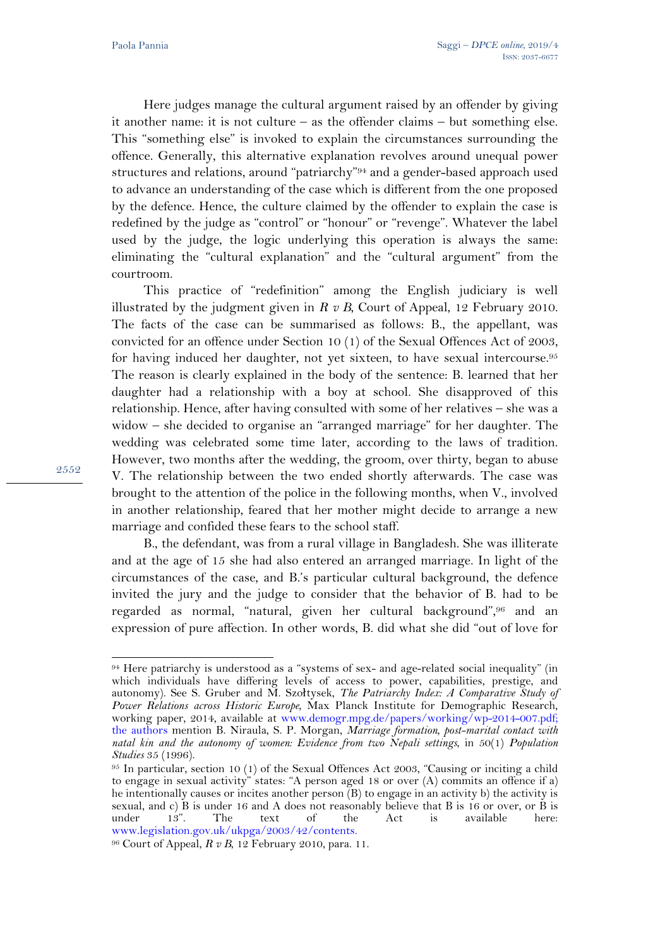Here judges manage the cultural argument raised by an offender by giving it another name: it is not culture – as the offender claims – but something else. This "something else" is invoked to explain the circumstances surrounding the offence. Generally, this alternative explanation revolves around unequal power structures and relations, around "patriarchy"94 and a gender-based approach used to advance an understanding of the case which is different from the one proposed by the defence. Hence, the culture claimed by the offender to explain the case is redefined by the judge as "control" or "honour" or "revenge". Whatever the label used by the judge, the logic underlying this operation is always the same: eliminating the "cultural explanation" and the "cultural argument" from the courtroom.

This practice of "redefinition" among the English judiciary is well illustrated by the judgment given in *R v B*, Court of Appeal, 12 February 2010. The facts of the case can be summarised as follows: B., the appellant, was convicted for an offence under Section 10 (1) of the Sexual Offences Act of 2003, for having induced her daughter, not yet sixteen, to have sexual intercourse.<sup>95</sup> The reason is clearly explained in the body of the sentence: B. learned that her daughter had a relationship with a boy at school. She disapproved of this relationship. Hence, after having consulted with some of her relatives – she was a widow – she decided to organise an "arranged marriage" for her daughter. The wedding was celebrated some time later, according to the laws of tradition. However, two months after the wedding, the groom, over thirty, began to abuse V. The relationship between the two ended shortly afterwards. The case was brought to the attention of the police in the following months, when V., involved in another relationship, feared that her mother might decide to arrange a new marriage and confided these fears to the school staff.

B., the defendant, was from a rural village in Bangladesh. She was illiterate and at the age of 15 she had also entered an arranged marriage. In light of the circumstances of the case, and B.'s particular cultural background, the defence invited the jury and the judge to consider that the behavior of B. had to be regarded as normal, "natural, given her cultural background",96 and an expression of pure affection. In other words, B. did what she did "out of love for

9559

<sup>94</sup> Here patriarchy is understood as a "systems of sex- and age-related social inequality" (in which individuals have differing levels of access to power, capabilities, prestige, and autonomy). See S. Gruber and M. Szołtysek, *The Patriarchy Index: A Comparative Study of Power Relations across Historic Europe*, Max Planck Institute for Demographic Research, working paper, 2014, available at www.demogr.mpg.de/papers/working/wp-2014-007.pdf; the authors mention B. Niraula, S. P. Morgan, *Marriage formation, post-marital contact with natal kin and the autonomy of women: Evidence from two Nepali settings*, in 50(1) *Population Studies* 35 (1996).<br><sup>95</sup> In particular, section 10 (1) of the Sexual Offences Act 2003, "Causing or inciting a child

to engage in sexual activity" states: "A person aged 18 or over (A) commits an offence if a) he intentionally causes or incites another person (B) to engage in an activity b) the activity is sexual, and c) B is under 16 and A does not reasonably believe that B is 16 or over, or B is under 13". The text of the Act is available here: under 13". The text of the Act is available here: www.legislation.gov.uk/ukpga/2003/42/contents. 96 Court of Appeal, *R v B*, 12 February 2010, para. 11.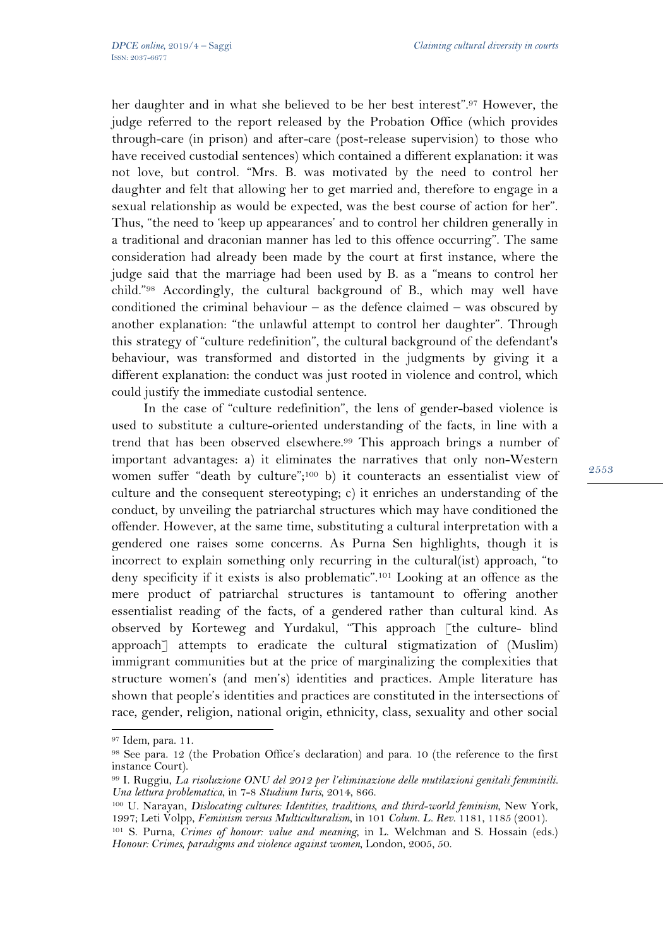her daughter and in what she believed to be her best interest".97 However, the judge referred to the report released by the Probation Office (which provides through-care (in prison) and after-care (post-release supervision) to those who have received custodial sentences) which contained a different explanation: it was not love, but control. "Mrs. B. was motivated by the need to control her daughter and felt that allowing her to get married and, therefore to engage in a sexual relationship as would be expected, was the best course of action for her". Thus, "the need to 'keep up appearances' and to control her children generally in a traditional and draconian manner has led to this offence occurring". The same consideration had already been made by the court at first instance, where the judge said that the marriage had been used by B. as a "means to control her child."98 Accordingly, the cultural background of B., which may well have conditioned the criminal behaviour – as the defence claimed – was obscured by another explanation: "the unlawful attempt to control her daughter". Through this strategy of "culture redefinition", the cultural background of the defendant's behaviour, was transformed and distorted in the judgments by giving it a different explanation: the conduct was just rooted in violence and control, which could justify the immediate custodial sentence.

In the case of "culture redefinition", the lens of gender-based violence is used to substitute a culture-oriented understanding of the facts, in line with a trend that has been observed elsewhere.99 This approach brings a number of important advantages: a) it eliminates the narratives that only non-Western women suffer "death by culture";<sup>100</sup> b) it counteracts an essentialist view of culture and the consequent stereotyping; c) it enriches an understanding of the conduct, by unveiling the patriarchal structures which may have conditioned the offender. However, at the same time, substituting a cultural interpretation with a gendered one raises some concerns. As Purna Sen highlights, though it is incorrect to explain something only recurring in the cultural(ist) approach, "to deny specificity if it exists is also problematic".101 Looking at an offence as the mere product of patriarchal structures is tantamount to offering another essentialist reading of the facts, of a gendered rather than cultural kind. As observed by Korteweg and Yurdakul, "This approach [the culture- blind approach] attempts to eradicate the cultural stigmatization of (Muslim) immigrant communities but at the price of marginalizing the complexities that structure women's (and men's) identities and practices. Ample literature has shown that people's identities and practices are constituted in the intersections of race, gender, religion, national origin, ethnicity, class, sexuality and other social

 $\overline{a}$ 

<sup>97</sup> Idem, para. 11.

<sup>98</sup> See para. 12 (the Probation Office's declaration) and para. 10 (the reference to the first instance Court).

<sup>99</sup> I. Ruggiu, *La risoluzione ONU del 2012 per l'eliminazione delle mutilazioni genitali femminili.* 

<sup>&</sup>lt;sup>100</sup> U. Narayan, *Dislocating cultures: Identities, traditions, and third-world feminism*, New York, 1997; Leti Volpp, *Feminism versus Multiculturalism*, in 101 Colum. L. Rev. 1181, 1185 (2001).

<sup>&</sup>lt;sup>101</sup> S. Purna, *Crimes of honour: value and meaning*, in L. Welchman and S. Hossain (eds.) *Honour: Crimes, paradigms and violence against women*, London, 2005, 50.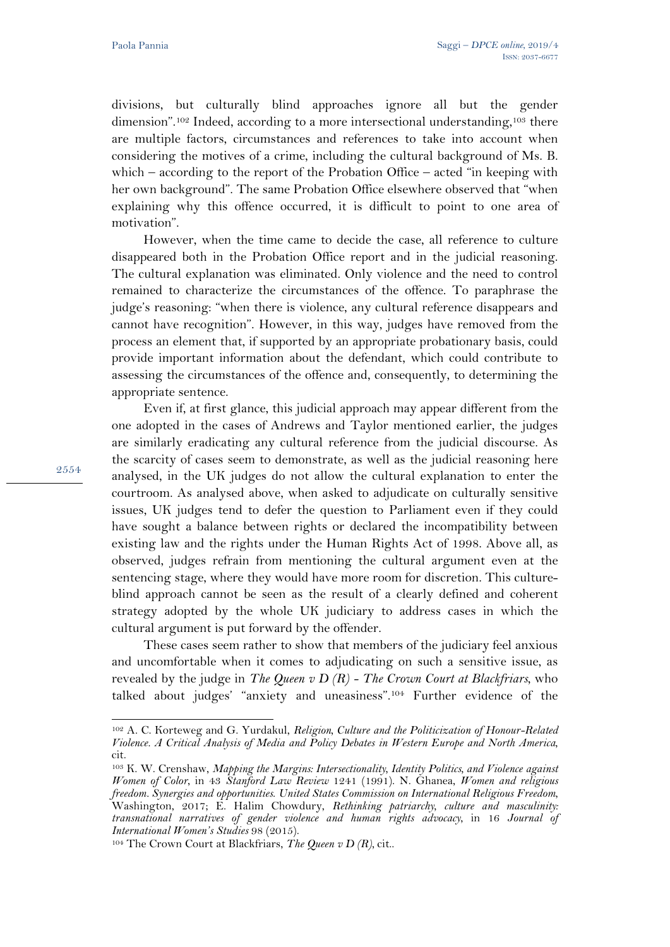divisions, but culturally blind approaches ignore all but the gender dimension".<sup>102</sup> Indeed, according to a more intersectional understanding,<sup>103</sup> there are multiple factors, circumstances and references to take into account when considering the motives of a crime, including the cultural background of Ms. B. which – according to the report of the Probation Office – acted "in keeping with her own background". The same Probation Office elsewhere observed that "when explaining why this offence occurred, it is difficult to point to one area of motivation".

However, when the time came to decide the case, all reference to culture disappeared both in the Probation Office report and in the judicial reasoning. The cultural explanation was eliminated. Only violence and the need to control remained to characterize the circumstances of the offence. To paraphrase the judge's reasoning: "when there is violence, any cultural reference disappears and cannot have recognition". However, in this way, judges have removed from the process an element that, if supported by an appropriate probationary basis, could provide important information about the defendant, which could contribute to assessing the circumstances of the offence and, consequently, to determining the appropriate sentence.

Even if, at first glance, this judicial approach may appear different from the one adopted in the cases of Andrews and Taylor mentioned earlier, the judges are similarly eradicating any cultural reference from the judicial discourse. As the scarcity of cases seem to demonstrate, as well as the judicial reasoning here analysed, in the UK judges do not allow the cultural explanation to enter the courtroom. As analysed above, when asked to adjudicate on culturally sensitive issues, UK judges tend to defer the question to Parliament even if they could have sought a balance between rights or declared the incompatibility between existing law and the rights under the Human Rights Act of 1998. Above all, as observed, judges refrain from mentioning the cultural argument even at the sentencing stage, where they would have more room for discretion. This cultureblind approach cannot be seen as the result of a clearly defined and coherent strategy adopted by the whole UK judiciary to address cases in which the cultural argument is put forward by the offender.

These cases seem rather to show that members of the judiciary feel anxious and uncomfortable when it comes to adjudicating on such a sensitive issue, as revealed by the judge in *The Queen v D (R) - The Crown Court at Blackfriars*, who talked about judges' "anxiety and uneasiness".104 Further evidence of the

9554

<sup>102</sup> A. C. Korteweg and G. Yurdakul, *Religion, Culture and the Politicization of Honour-Related Violence. A Critical Analysis of Media and Policy Debates in Western Europe and North America*, cit.

<sup>103</sup> K. W. Crenshaw, *Mapping the Margins: Intersectionality, Identity Politics, and Violence against Women of Color*, in 43 *Stanford Law Review* 1241 (1991). N. Ghanea, *Women and religious freedom. Synergies and opportunities*. *United States Commission on International Religious Freedom*, Washington, 2017; E. Halim Chowdury, *Rethinking patriarchy, culture and masculinity: transnational narratives of gender violence and human rights advocacy*, in 16 *Journal of* 

<sup>&</sup>lt;sup>104</sup> The Crown Court at Blackfriars, *The Queen v D (R)*, cit...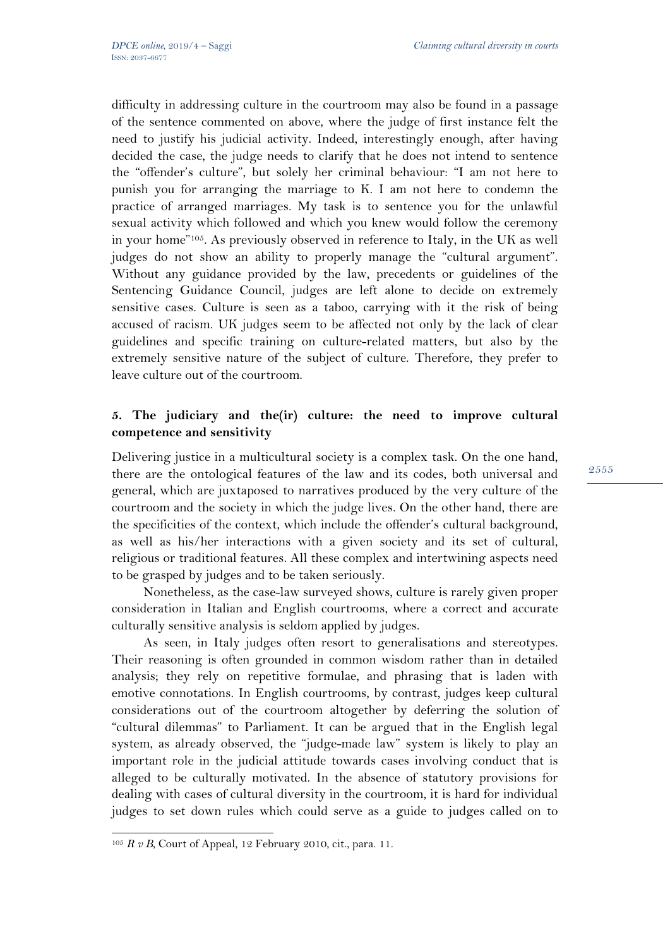difficulty in addressing culture in the courtroom may also be found in a passage of the sentence commented on above, where the judge of first instance felt the need to justify his judicial activity. Indeed, interestingly enough, after having decided the case, the judge needs to clarify that he does not intend to sentence the "offender's culture", but solely her criminal behaviour: "I am not here to punish you for arranging the marriage to K. I am not here to condemn the practice of arranged marriages. My task is to sentence you for the unlawful sexual activity which followed and which you knew would follow the ceremony in your home"105. As previously observed in reference to Italy, in the UK as well judges do not show an ability to properly manage the "cultural argument". Without any guidance provided by the law, precedents or guidelines of the Sentencing Guidance Council, judges are left alone to decide on extremely sensitive cases. Culture is seen as a taboo, carrying with it the risk of being accused of racism. UK judges seem to be affected not only by the lack of clear guidelines and specific training on culture-related matters, but also by the extremely sensitive nature of the subject of culture. Therefore, they prefer to leave culture out of the courtroom.

## **5. The judiciary and the(ir) culture: the need to improve cultural competence and sensitivity**

Delivering justice in a multicultural society is a complex task. On the one hand, there are the ontological features of the law and its codes, both universal and general, which are juxtaposed to narratives produced by the very culture of the courtroom and the society in which the judge lives. On the other hand, there are the specificities of the context, which include the offender's cultural background, as well as his/her interactions with a given society and its set of cultural, religious or traditional features. All these complex and intertwining aspects need to be grasped by judges and to be taken seriously.

Nonetheless, as the case-law surveyed shows, culture is rarely given proper consideration in Italian and English courtrooms, where a correct and accurate culturally sensitive analysis is seldom applied by judges.

As seen, in Italy judges often resort to generalisations and stereotypes. Their reasoning is often grounded in common wisdom rather than in detailed analysis; they rely on repetitive formulae, and phrasing that is laden with emotive connotations. In English courtrooms, by contrast, judges keep cultural considerations out of the courtroom altogether by deferring the solution of "cultural dilemmas" to Parliament. It can be argued that in the English legal system, as already observed, the "judge-made law" system is likely to play an important role in the judicial attitude towards cases involving conduct that is alleged to be culturally motivated. In the absence of statutory provisions for dealing with cases of cultural diversity in the courtroom, it is hard for individual judges to set down rules which could serve as a guide to judges called on to

 $\overline{a}$ 

<sup>105</sup> *R v B*, Court of Appeal, 12 February 2010, cit., para. 11.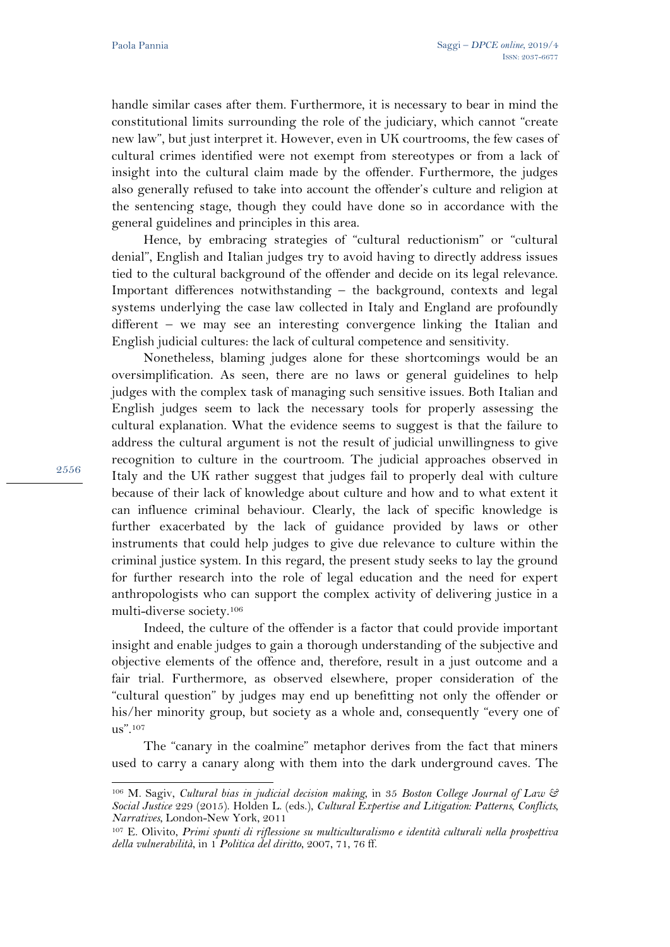handle similar cases after them. Furthermore, it is necessary to bear in mind the constitutional limits surrounding the role of the judiciary, which cannot "create new law", but just interpret it. However, even in UK courtrooms, the few cases of cultural crimes identified were not exempt from stereotypes or from a lack of insight into the cultural claim made by the offender. Furthermore, the judges also generally refused to take into account the offender's culture and religion at the sentencing stage, though they could have done so in accordance with the general guidelines and principles in this area.

Hence, by embracing strategies of "cultural reductionism" or "cultural denial", English and Italian judges try to avoid having to directly address issues tied to the cultural background of the offender and decide on its legal relevance. Important differences notwithstanding – the background, contexts and legal systems underlying the case law collected in Italy and England are profoundly different – we may see an interesting convergence linking the Italian and English judicial cultures: the lack of cultural competence and sensitivity.

Nonetheless, blaming judges alone for these shortcomings would be an oversimplification. As seen, there are no laws or general guidelines to help judges with the complex task of managing such sensitive issues. Both Italian and English judges seem to lack the necessary tools for properly assessing the cultural explanation. What the evidence seems to suggest is that the failure to address the cultural argument is not the result of judicial unwillingness to give recognition to culture in the courtroom. The judicial approaches observed in Italy and the UK rather suggest that judges fail to properly deal with culture because of their lack of knowledge about culture and how and to what extent it can influence criminal behaviour. Clearly, the lack of specific knowledge is further exacerbated by the lack of guidance provided by laws or other instruments that could help judges to give due relevance to culture within the criminal justice system. In this regard, the present study seeks to lay the ground for further research into the role of legal education and the need for expert anthropologists who can support the complex activity of delivering justice in a multi-diverse society.106

Indeed, the culture of the offender is a factor that could provide important insight and enable judges to gain a thorough understanding of the subjective and objective elements of the offence and, therefore, result in a just outcome and a fair trial. Furthermore, as observed elsewhere, proper consideration of the "cultural question" by judges may end up benefitting not only the offender or his/her minority group, but society as a whole and, consequently "every one of us".107

The "canary in the coalmine" metaphor derives from the fact that miners used to carry a canary along with them into the dark underground caves. The

2556

<sup>106</sup> M. Sagiv, *Cultural bias in judicial decision making*, in 35 *Boston College Journal of Law & Social Justice* 229 (2015). Holden L. (eds.), *Cultural Expertise and Litigation: Patterns, Conflicts,* 

<sup>&</sup>lt;sup>107</sup> E. Olivito, *Primi spunti di riflessione su multiculturalismo e identità culturali nella prospettiva della vulnerabilità*, in 1 *Politica del diritto*, 2007, 71, 76 ff.